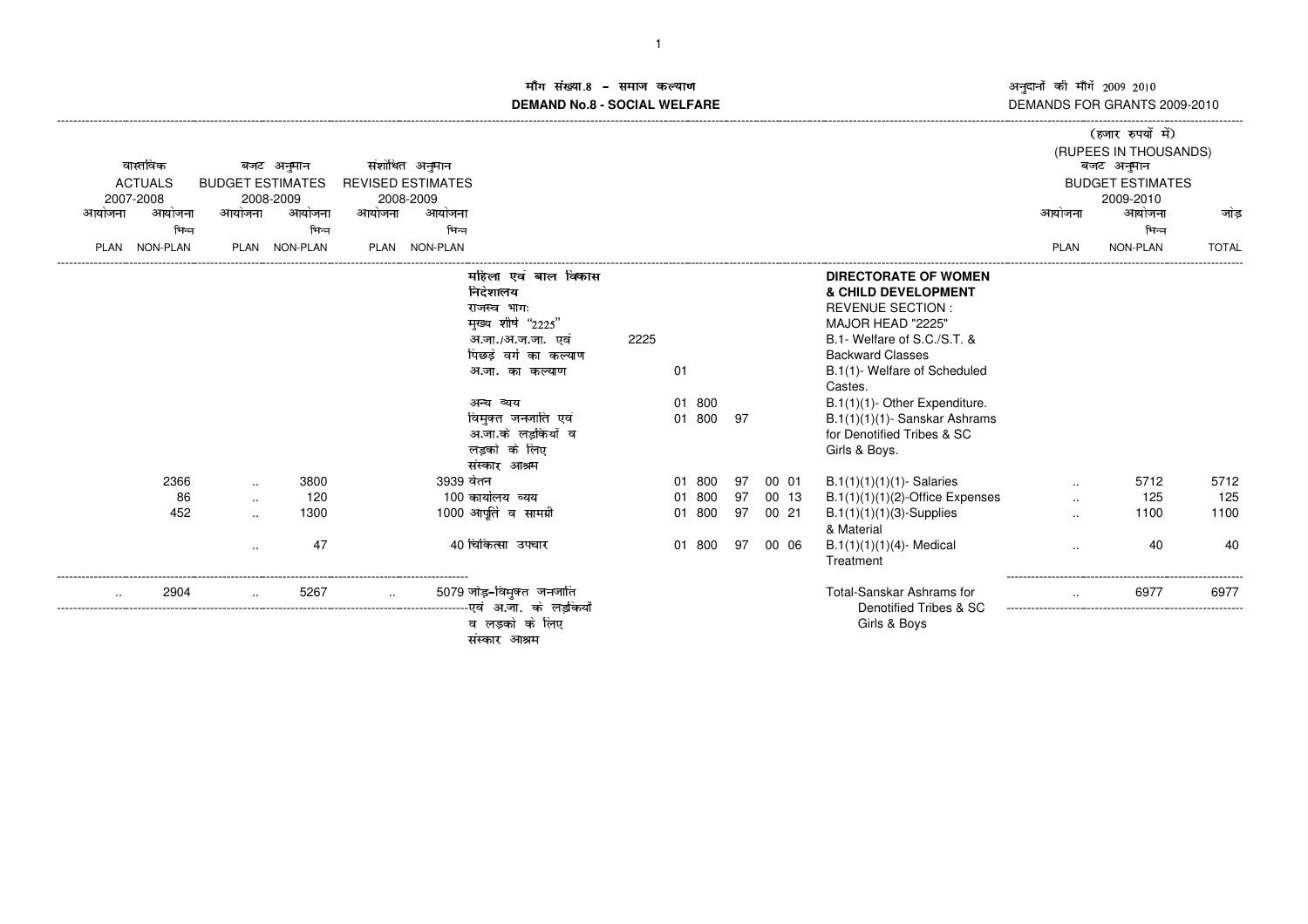.<br>हजार रुपयों में

#### <mark>ॉग संख्या.8 – समाज कल्याण</mark> कराया कार्यक्रम कर कर कर कर कर अ माग सख्या.**8 – समाज कल्याण**<br>DEMAND No.8 - SOCIAL WELFARE

| वास्तविक<br>बजट अनुमान                                    | संशोधित अनुमान                                                                                                                                                                                                          |                                                                                                                                                                                                                                                                                                                                                            |           | (RUPEES IN THOUSANDS)<br>बजट अनुमान |              |
|-----------------------------------------------------------|-------------------------------------------------------------------------------------------------------------------------------------------------------------------------------------------------------------------------|------------------------------------------------------------------------------------------------------------------------------------------------------------------------------------------------------------------------------------------------------------------------------------------------------------------------------------------------------------|-----------|-------------------------------------|--------------|
| <b>ACTUALS</b><br><b>BUDGET ESTIMATES</b>                 | <b>REVISED ESTIMATES</b>                                                                                                                                                                                                |                                                                                                                                                                                                                                                                                                                                                            |           | <b>BUDGET ESTIMATES</b>             |              |
| 2007-2008<br>2008-2009                                    | 2008-2009                                                                                                                                                                                                               |                                                                                                                                                                                                                                                                                                                                                            |           | 2009-2010                           |              |
| आयोजना<br>आयोजना<br>आयोजना<br>आयोजना                      | आयोजना<br>आयोजना                                                                                                                                                                                                        |                                                                                                                                                                                                                                                                                                                                                            | आयोजना    | आयोजना                              | जोड          |
| भिन्न<br>भिन्न                                            | भिन्न                                                                                                                                                                                                                   |                                                                                                                                                                                                                                                                                                                                                            |           | भिन्न                               |              |
| NON-PLAN<br><b>NON-PLAN</b><br><b>PLAN</b><br><b>PLAN</b> | <b>NON-PLAN</b><br>PLAN                                                                                                                                                                                                 |                                                                                                                                                                                                                                                                                                                                                            | PLAN      | <b>NON-PLAN</b>                     | <b>TOTAL</b> |
|                                                           | र्माहेला एवं बाल विकास<br>निदेशालय<br>राजस्व भाग:<br>मुख्य शीर्ष "2225"<br>अ.जा./अ.ज.जा. एवं<br>2225<br>पिछडे वर्ग का कल्याण<br>अ.जा. का कल्याण<br>अन्य व्यय<br>विमुक्त जनजाति एवं<br>अ.जा.के लडकियों व<br>लड़को के लिए | DIRECTORATE OF WOMEN<br>& CHILD DEVELOPMENT<br><b>REVENUE SECTION:</b><br>MAJOR HEAD "2225"<br>B.1- Welfare of S.C./S.T. &<br><b>Backward Classes</b><br>B.1(1)- Welfare of Scheduled<br>01<br>Castes.<br>800<br>B.1(1)(1)- Other Expenditure.<br>01<br>800<br>$B.1(1)(1)(1)$ - Sanskar Ashrams<br>01<br>97<br>for Denotified Tribes & SC<br>Girls & Boys. |           |                                     |              |
|                                                           | संस्कार आश्रम                                                                                                                                                                                                           |                                                                                                                                                                                                                                                                                                                                                            |           |                                     |              |
| 2366<br>3800<br>$\ddotsc$                                 | 3939 वेतन                                                                                                                                                                                                               | 800<br>00 01<br>$B.1(1)(1)(1)(1)$ - Salaries<br>01<br>97                                                                                                                                                                                                                                                                                                   |           | 5712                                | 5712         |
| 120<br>86<br>$\sim$                                       | 100 कार्यालय व्यय                                                                                                                                                                                                       | 97<br>$B.1(1)(1)(1)(2)$ -Office Expenses<br>800<br>00 13<br>01                                                                                                                                                                                                                                                                                             |           | 125                                 | 125          |
| 452<br>1300<br>$\ddotsc$                                  | 1000 आपूर्ति व सामग्री                                                                                                                                                                                                  | 97<br>800<br>$B.1(1)(1)(1)(3)$ -Supplies<br>00 21<br>01<br>& Material                                                                                                                                                                                                                                                                                      |           | 1100                                | 1100         |
| 47<br>$\sim$                                              | 40 चिकित्सा उपचार                                                                                                                                                                                                       | 00 06<br>$B.1(1)(1)(1)(4)$ - Medical<br>800<br>97<br>01<br>Treatment                                                                                                                                                                                                                                                                                       | $\ddotsc$ | 40                                  | -40          |
| 2904<br>5267                                              | 5079 जोड़-विमुक्त जनजाति<br>------------एवं अ.जा. के लडकियों<br>व लडको के लिए<br>संस्कार आश्रम                                                                                                                          | Total-Sanskar Ashrams for<br>Denotified Tribes & SC<br>Girls & Boys                                                                                                                                                                                                                                                                                        |           | 6977                                | 6977         |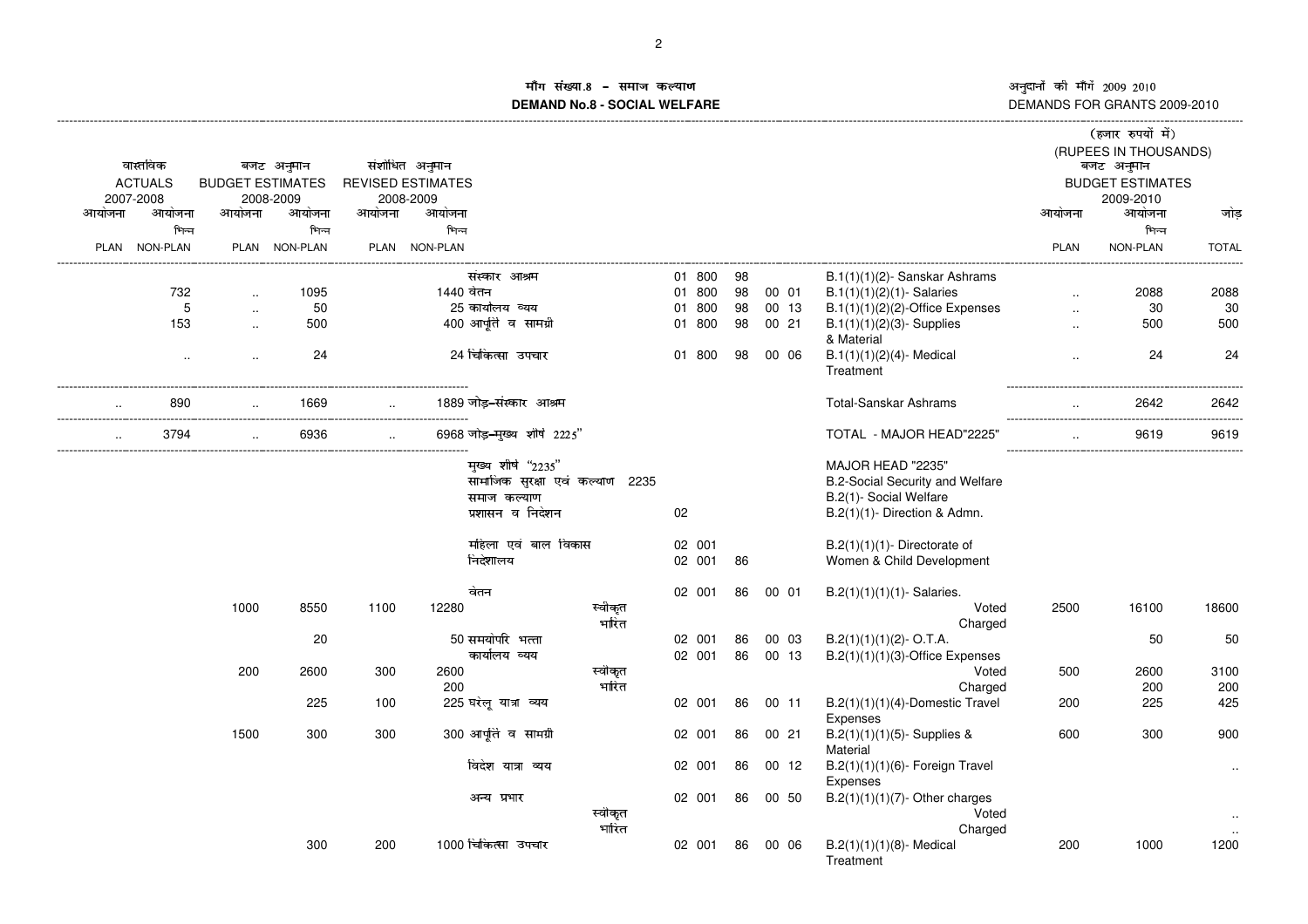अनुदानों की माँगें 2009–2010<br>DEMANDS FOR GRANTS 2009-2010 ं की माँगें 2009-2010

#### ाँग संख्या ûýþ øôõÿõ-**DEMAND No.8 - SOCIAL WELFARE**ाण उत्तर को समाप्त है। इस प्रकाश के बाद के बाद करने के बाद करने के बाद करने के बाद करने के बाद करने के बाद करन

| (RUPEES IN THOUSANDS)<br>वास्तविक<br>संशोधित अनुमान<br>बजट अनुमान<br>बजट अनुमान<br><b>REVISED ESTIMATES</b><br><b>ACTUALS</b><br><b>BUDGET ESTIMATES</b><br><b>BUDGET ESTIMATES</b><br>2007-2008<br>2008-2009<br>2008-2009<br>2009-2010<br>आयोजना<br>आयोजना<br>आयोजना<br>आयोजना<br>आयोजना<br>आयोजना<br>आयोजना<br>आयोजना<br>भिन्न<br>भिन्न<br>भिन्न<br><b>NON-PLAN</b><br>PLAN NON-PLAN<br>PLAN NON-PLAN<br>NON-PLAN<br><b>PLAN</b><br><b>PLAN</b><br>01 800<br>संस्कार आश्रम<br>98<br>B.1(1)(1)(2)- Sanskar Ashrams<br>1440 वेतन<br>01 800<br>98<br>$B.1(1)(1)(2)(1)$ - Salaries<br>732<br>1095<br>00 01<br>25 कार्यालय व्यय<br>5<br>50<br>01 800<br>98<br>00 13<br>$B.1(1)(1)(2)(2)$ -Office Expenses<br>$\ddotsc$<br>$\cdot$ .<br>400 आपूर्ति व सामग्री<br>98<br>153<br>500<br>01 800<br>00 21<br>$B.1(1)(1)(2)(3)$ - Supplies<br>$\ddot{\phantom{a}}$<br>$\sim$<br>& Material<br>24 चिकित्सा उपचार<br>24<br>01 800<br>98<br>00 06<br>$B.1(1)(1)(2)(4)$ - Medical<br>$\cdot$<br>$\ddotsc$<br>$\ddotsc$<br>Treatment<br>1889 जोड-संस्कार आश्रम<br><b>Total-Sanskar Ashrams</b><br>890<br>1669<br>6968 जोड़-मुख्य शीर्ष 2225"<br>3794<br>6936<br>TOTAL - MAJOR HEAD"2225" | जोड़<br>भिन्न<br><b>TOTAL</b><br>2088<br>2088<br>30<br>30<br>500<br>500<br>24<br>24<br>2642<br>2642<br>9619<br>9619 |
|---------------------------------------------------------------------------------------------------------------------------------------------------------------------------------------------------------------------------------------------------------------------------------------------------------------------------------------------------------------------------------------------------------------------------------------------------------------------------------------------------------------------------------------------------------------------------------------------------------------------------------------------------------------------------------------------------------------------------------------------------------------------------------------------------------------------------------------------------------------------------------------------------------------------------------------------------------------------------------------------------------------------------------------------------------------------------------------------------------------------------------------------------------------------------|---------------------------------------------------------------------------------------------------------------------|
|                                                                                                                                                                                                                                                                                                                                                                                                                                                                                                                                                                                                                                                                                                                                                                                                                                                                                                                                                                                                                                                                                                                                                                           |                                                                                                                     |
|                                                                                                                                                                                                                                                                                                                                                                                                                                                                                                                                                                                                                                                                                                                                                                                                                                                                                                                                                                                                                                                                                                                                                                           |                                                                                                                     |
|                                                                                                                                                                                                                                                                                                                                                                                                                                                                                                                                                                                                                                                                                                                                                                                                                                                                                                                                                                                                                                                                                                                                                                           |                                                                                                                     |
|                                                                                                                                                                                                                                                                                                                                                                                                                                                                                                                                                                                                                                                                                                                                                                                                                                                                                                                                                                                                                                                                                                                                                                           |                                                                                                                     |
|                                                                                                                                                                                                                                                                                                                                                                                                                                                                                                                                                                                                                                                                                                                                                                                                                                                                                                                                                                                                                                                                                                                                                                           |                                                                                                                     |
|                                                                                                                                                                                                                                                                                                                                                                                                                                                                                                                                                                                                                                                                                                                                                                                                                                                                                                                                                                                                                                                                                                                                                                           |                                                                                                                     |
|                                                                                                                                                                                                                                                                                                                                                                                                                                                                                                                                                                                                                                                                                                                                                                                                                                                                                                                                                                                                                                                                                                                                                                           |                                                                                                                     |
|                                                                                                                                                                                                                                                                                                                                                                                                                                                                                                                                                                                                                                                                                                                                                                                                                                                                                                                                                                                                                                                                                                                                                                           |                                                                                                                     |
|                                                                                                                                                                                                                                                                                                                                                                                                                                                                                                                                                                                                                                                                                                                                                                                                                                                                                                                                                                                                                                                                                                                                                                           |                                                                                                                     |
|                                                                                                                                                                                                                                                                                                                                                                                                                                                                                                                                                                                                                                                                                                                                                                                                                                                                                                                                                                                                                                                                                                                                                                           |                                                                                                                     |
|                                                                                                                                                                                                                                                                                                                                                                                                                                                                                                                                                                                                                                                                                                                                                                                                                                                                                                                                                                                                                                                                                                                                                                           |                                                                                                                     |
|                                                                                                                                                                                                                                                                                                                                                                                                                                                                                                                                                                                                                                                                                                                                                                                                                                                                                                                                                                                                                                                                                                                                                                           |                                                                                                                     |
|                                                                                                                                                                                                                                                                                                                                                                                                                                                                                                                                                                                                                                                                                                                                                                                                                                                                                                                                                                                                                                                                                                                                                                           |                                                                                                                     |
|                                                                                                                                                                                                                                                                                                                                                                                                                                                                                                                                                                                                                                                                                                                                                                                                                                                                                                                                                                                                                                                                                                                                                                           |                                                                                                                     |
|                                                                                                                                                                                                                                                                                                                                                                                                                                                                                                                                                                                                                                                                                                                                                                                                                                                                                                                                                                                                                                                                                                                                                                           |                                                                                                                     |
| मुख्य शीर्ष "2235"<br>MAJOR HEAD "2235"                                                                                                                                                                                                                                                                                                                                                                                                                                                                                                                                                                                                                                                                                                                                                                                                                                                                                                                                                                                                                                                                                                                                   |                                                                                                                     |
| सामाजिक सुरक्षा एवं कल्याण 2235<br><b>B.2-Social Security and Welfare</b>                                                                                                                                                                                                                                                                                                                                                                                                                                                                                                                                                                                                                                                                                                                                                                                                                                                                                                                                                                                                                                                                                                 |                                                                                                                     |
| समाज कल्याण<br>B.2(1)- Social Welfare                                                                                                                                                                                                                                                                                                                                                                                                                                                                                                                                                                                                                                                                                                                                                                                                                                                                                                                                                                                                                                                                                                                                     |                                                                                                                     |
| प्रशासन व निदेशन<br>02<br>B.2(1)(1)- Direction & Admn.                                                                                                                                                                                                                                                                                                                                                                                                                                                                                                                                                                                                                                                                                                                                                                                                                                                                                                                                                                                                                                                                                                                    |                                                                                                                     |
| महिला एवं बाल विकास<br>02 001<br>$B.2(1)(1)(1)$ - Directorate of                                                                                                                                                                                                                                                                                                                                                                                                                                                                                                                                                                                                                                                                                                                                                                                                                                                                                                                                                                                                                                                                                                          |                                                                                                                     |
| निदेशालय<br>02 001<br>86<br>Women & Child Development                                                                                                                                                                                                                                                                                                                                                                                                                                                                                                                                                                                                                                                                                                                                                                                                                                                                                                                                                                                                                                                                                                                     |                                                                                                                     |
| वेतन<br>02 001<br>86<br>00 01<br>$B.2(1)(1)(1)(1)$ - Salaries.                                                                                                                                                                                                                                                                                                                                                                                                                                                                                                                                                                                                                                                                                                                                                                                                                                                                                                                                                                                                                                                                                                            |                                                                                                                     |
| स्वीकृत<br>2500<br>1000<br>8550<br>1100<br>12280<br>Voted<br>16100                                                                                                                                                                                                                                                                                                                                                                                                                                                                                                                                                                                                                                                                                                                                                                                                                                                                                                                                                                                                                                                                                                        | 18600                                                                                                               |
| भारित<br>Charged                                                                                                                                                                                                                                                                                                                                                                                                                                                                                                                                                                                                                                                                                                                                                                                                                                                                                                                                                                                                                                                                                                                                                          |                                                                                                                     |
| 50 समयोपरि भत्ता<br>20<br>02 001<br>86<br>00 03<br>$B.2(1)(1)(1)(2) - O.T.A.$                                                                                                                                                                                                                                                                                                                                                                                                                                                                                                                                                                                                                                                                                                                                                                                                                                                                                                                                                                                                                                                                                             | 50<br>50                                                                                                            |
| कार्यालय व्यय<br>02 001<br>86<br>00 13<br>$B.2(1)(1)(1)(3)$ -Office Expenses                                                                                                                                                                                                                                                                                                                                                                                                                                                                                                                                                                                                                                                                                                                                                                                                                                                                                                                                                                                                                                                                                              |                                                                                                                     |
| 2600<br>200<br>2600<br>300<br>स्वीकृत<br>Voted<br>500                                                                                                                                                                                                                                                                                                                                                                                                                                                                                                                                                                                                                                                                                                                                                                                                                                                                                                                                                                                                                                                                                                                     | 3100<br>2600                                                                                                        |
| भारित<br>200<br>Charged                                                                                                                                                                                                                                                                                                                                                                                                                                                                                                                                                                                                                                                                                                                                                                                                                                                                                                                                                                                                                                                                                                                                                   | 200<br>200                                                                                                          |
| 225 घरेलू यात्रा व्यय<br>225<br>02 001<br>86<br>00 11<br>$B.2(1)(1)(1)(4)$ -Domestic Travel<br>100<br>200<br>Expenses                                                                                                                                                                                                                                                                                                                                                                                                                                                                                                                                                                                                                                                                                                                                                                                                                                                                                                                                                                                                                                                     | 425<br>225                                                                                                          |
| 300 आपूर्ति व सामग्री<br>1500<br>300<br>300<br>$B.2(1)(1)(1)(5)$ - Supplies &<br>600<br>02 001<br>86<br>00 21<br>Material                                                                                                                                                                                                                                                                                                                                                                                                                                                                                                                                                                                                                                                                                                                                                                                                                                                                                                                                                                                                                                                 | 300<br>900                                                                                                          |
| विदेश यात्रा व्यय<br>86<br>B.2(1)(1)(1)(6)- Foreign Travel<br>02 001<br>00 12<br>Expenses                                                                                                                                                                                                                                                                                                                                                                                                                                                                                                                                                                                                                                                                                                                                                                                                                                                                                                                                                                                                                                                                                 |                                                                                                                     |
| 02 001<br>86<br>00 50<br>$B.2(1)(1)(1)(7)$ - Other charges<br>अन्य प्रभार<br>स्वीकृत<br>Voted                                                                                                                                                                                                                                                                                                                                                                                                                                                                                                                                                                                                                                                                                                                                                                                                                                                                                                                                                                                                                                                                             |                                                                                                                     |
| भारित<br>Charged                                                                                                                                                                                                                                                                                                                                                                                                                                                                                                                                                                                                                                                                                                                                                                                                                                                                                                                                                                                                                                                                                                                                                          |                                                                                                                     |
| 1000 चिकित्सा उपचार<br>200<br>300<br>200<br>02 001<br>86<br>00 06<br>$B.2(1)(1)(1)(8)$ - Medical<br>Treatment                                                                                                                                                                                                                                                                                                                                                                                                                                                                                                                                                                                                                                                                                                                                                                                                                                                                                                                                                                                                                                                             | 1200<br>1000                                                                                                        |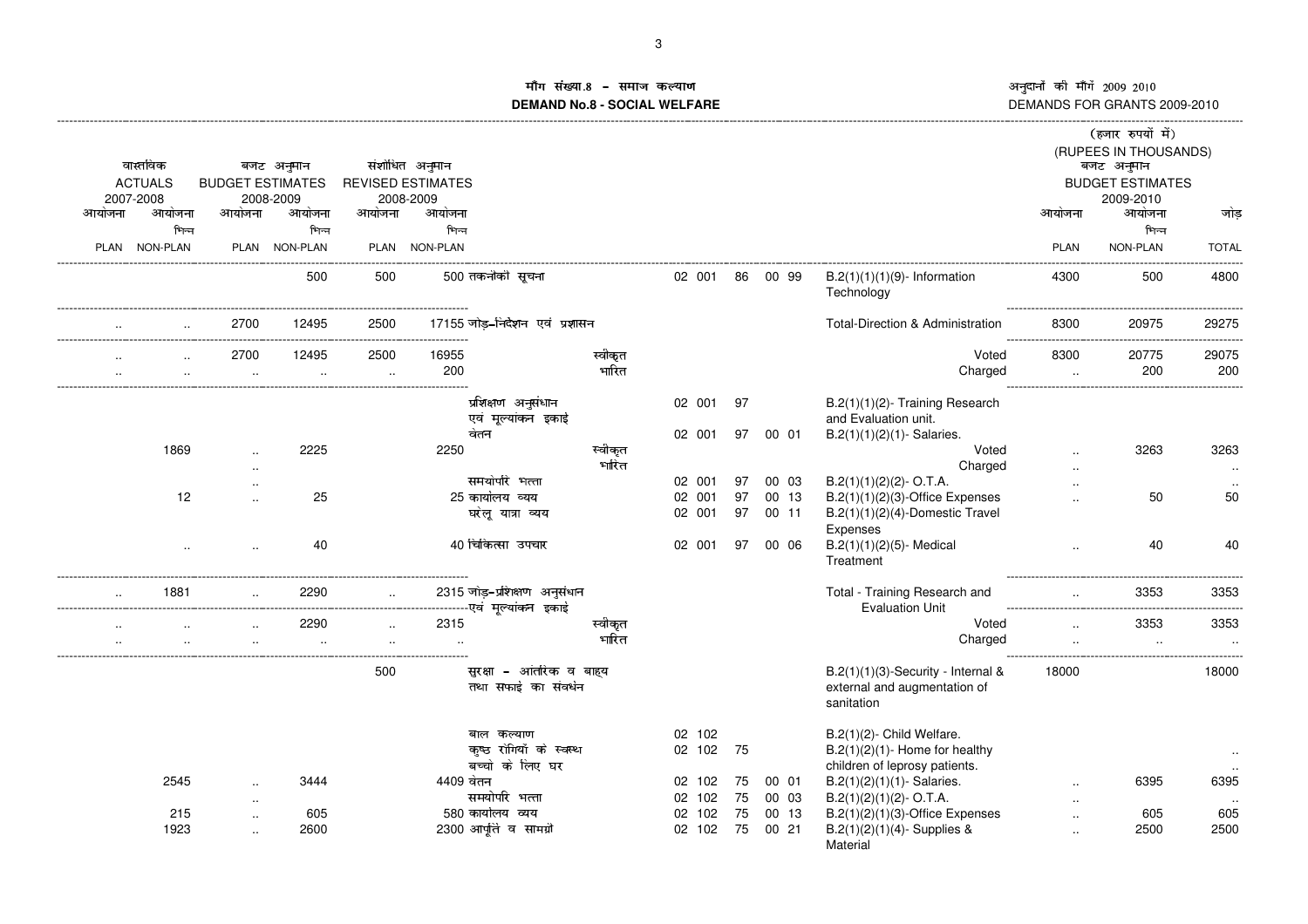**Contract Contract Contract Contract Contract Contract Contract Contract Contract Contract Contract Contract Co** 

# ाि संख्या **≠मीग सख्या.8 − समाज कल्याण**<br>DEMAND No.8 - SOCIAL WELFARE DI

|           | वास्तविक<br><b>ACTUALS</b><br>2007-2008 | <b>BUDGET ESTIMATES</b> | बजट अनुमान<br>2008-2009 |                   | संशोधित अनुमान<br><b>REVISED ESTIMATES</b><br>2008-2009 |                                                          |                  |                            |          |       |                                                                                                                                     |                                          | (हजार रुपयों में)<br>(RUPEES IN THOUSANDS)<br>बजट अनुमान<br><b>BUDGET ESTIMATES</b><br>2009-2010 |                   |
|-----------|-----------------------------------------|-------------------------|-------------------------|-------------------|---------------------------------------------------------|----------------------------------------------------------|------------------|----------------------------|----------|-------|-------------------------------------------------------------------------------------------------------------------------------------|------------------------------------------|--------------------------------------------------------------------------------------------------|-------------------|
| आयोजना    | आयोजना                                  | आयोजना                  | आयोजना                  | आयोजना            | आयोजना                                                  |                                                          |                  |                            |          |       |                                                                                                                                     | आयोजना                                   | आयोजना                                                                                           | जोड               |
|           | भिन्न                                   |                         | भिन्न                   |                   | भिन्न                                                   |                                                          |                  |                            |          |       |                                                                                                                                     |                                          | भिन्न                                                                                            |                   |
|           | PLAN NON-PLAN                           |                         | PLAN NON-PLAN           |                   | PLAN NON-PLAN                                           |                                                          |                  |                            |          |       |                                                                                                                                     | <b>PLAN</b>                              | NON-PLAN                                                                                         | <b>TOTAL</b>      |
|           |                                         |                         | 500                     | 500               |                                                         | 500 तकनीकी सूचना                                         |                  | 02 001 86 00 99            |          |       | $B.2(1)(1)(1)(9)$ - Information<br>Technology                                                                                       | 4300                                     | 500                                                                                              | -------<br>4800   |
|           | $\overline{a}$                          | 2700                    | 12495                   | 2500              |                                                         | 17155 जोड़-निर्देशन एवं प्रशासन                          |                  |                            |          |       | Total-Direction & Administration                                                                                                    | 8300<br>---------<br>------------------- | 20975<br>                                                                                        | 29275             |
|           | $\ddotsc$                               | 2700<br>$\sim$          | 12495<br>$\sim$         | 2500<br>$\ddotsc$ | 16955<br>200                                            |                                                          | स्वीकृत<br>भारित |                            |          |       | Voted<br>Charged                                                                                                                    | 8300<br>$\ddotsc$                        | 20775<br>200                                                                                     | 29075<br>200      |
|           |                                         |                         |                         |                   | वेतन                                                    | प्रशिक्षण अनुसंधान<br>एवं मूल्यांकन इकाई                 |                  | 02 001<br>02 001           | 97<br>97 | 00 01 | B.2(1)(1)(2)- Training Research<br>and Evaluation unit.<br>$B.2(1)(1)(2)(1)$ - Salaries.                                            |                                          |                                                                                                  |                   |
|           | 1869                                    | $\ddotsc$               | 2225                    |                   | 2250                                                    |                                                          | स्वीकृत          |                            |          |       | Voted                                                                                                                               | $\ddotsc$                                | 3263                                                                                             | 3263              |
|           |                                         | $\ddotsc$               |                         |                   |                                                         |                                                          | भारित            |                            |          |       | Charged                                                                                                                             | $\cdot$ .                                |                                                                                                  | $\cdot$ .         |
|           |                                         |                         |                         |                   |                                                         | समयोपरि भत्ता                                            |                  | 02 001                     | 97       | 00 03 | $B.2(1)(1)(2)(2)$ - O.T.A.                                                                                                          | $\cdot$ .                                |                                                                                                  |                   |
|           | 12                                      |                         | 25                      |                   |                                                         | 25 कार्यालय व्यय                                         |                  | 02 001                     | 97       | 00 13 | $B.2(1)(1)(2)(3)$ -Office Expenses                                                                                                  | $\ddotsc$                                | 50                                                                                               | 50                |
|           |                                         |                         |                         |                   |                                                         | घरेलू यात्रा व्यय                                        |                  | 02 001                     | 97       | 00 11 | $B.2(1)(1)(2)(4)$ -Domestic Travel<br>Expenses                                                                                      |                                          |                                                                                                  |                   |
|           |                                         |                         | 40                      |                   |                                                         | 40 चिकित्सा उपचार                                        |                  | 02 001                     | 97       | 00 06 | $B.2(1)(1)(2)(5)$ - Medical<br>Treatment                                                                                            |                                          | 40                                                                                               | 40                |
|           | 1881                                    |                         | 2290                    |                   |                                                         | 2315 जोड़-प्रशिक्षण अनुसंधान                             |                  |                            |          |       | Total - Training Research and<br><b>Evaluation Unit</b>                                                                             |                                          | 3353                                                                                             | 3353<br>-------   |
|           |                                         |                         | 2290                    |                   | 2315                                                    |                                                          | स्वीकृत          |                            |          |       | Voted                                                                                                                               | $\sim$                                   | 3353                                                                                             | 3353              |
| $\cdot$ . |                                         |                         |                         | $\sim$ $\sim$     | $\sim$ $\sim$                                           |                                                          | भारित            |                            |          |       | Charged                                                                                                                             | $\ddotsc$                                |                                                                                                  | $\ddotsc$<br>.    |
|           |                                         |                         |                         | 500               |                                                         | सुरक्षा - आंतरिक व बाहय<br>तथा सफाई का संवर्धन           |                  |                            |          |       | $B.2(1)(1)(3)$ -Security - Internal &<br>external and augmentation of<br>sanitation                                                 | 18000                                    |                                                                                                  | 18000             |
|           | 2545                                    | $\ddotsc$               | 3444                    |                   | 4409 वेतन                                               | बाल कल्याण<br>कृष्ठ रोगियों के स्वस्थ<br>बच्चो के लिए घर |                  | 02 102<br>02 102<br>02 102 | 75<br>75 | 00 01 | $B.2(1)(2)$ - Child Welfare.<br>$B.2(1)(2)(1)$ - Home for healthy<br>children of leprosy patients.<br>$B.2(1)(2)(1)(1)$ - Salaries. | $\ddotsc$                                | 6395                                                                                             | $\cdot$ .<br>6395 |
|           |                                         |                         |                         |                   |                                                         | समयोर्पार भत्ता                                          |                  | 02 102                     | 75       | 00 03 | $B.2(1)(2)(1)(2)$ - O.T.A.                                                                                                          | $\cdot$ .                                |                                                                                                  | $\sim$            |
|           | 215                                     | $\ddotsc$               | 605                     |                   | 580 कार्यालय व्यय                                       |                                                          |                  | 02 102                     | 75       | 00 13 | $B.2(1)(2)(1)(3)$ -Office Expenses                                                                                                  | $\ddotsc$                                | 605                                                                                              | 605               |
|           | 1923                                    | $\ddotsc$               | 2600                    |                   |                                                         | 2300 आपूर्ति व सामग्री                                   |                  | 02 102                     | 75       | 0021  | $B.2(1)(2)(1)(4)$ - Supplies &<br>Material                                                                                          | $\cdot$ .                                | 2500                                                                                             | 2500              |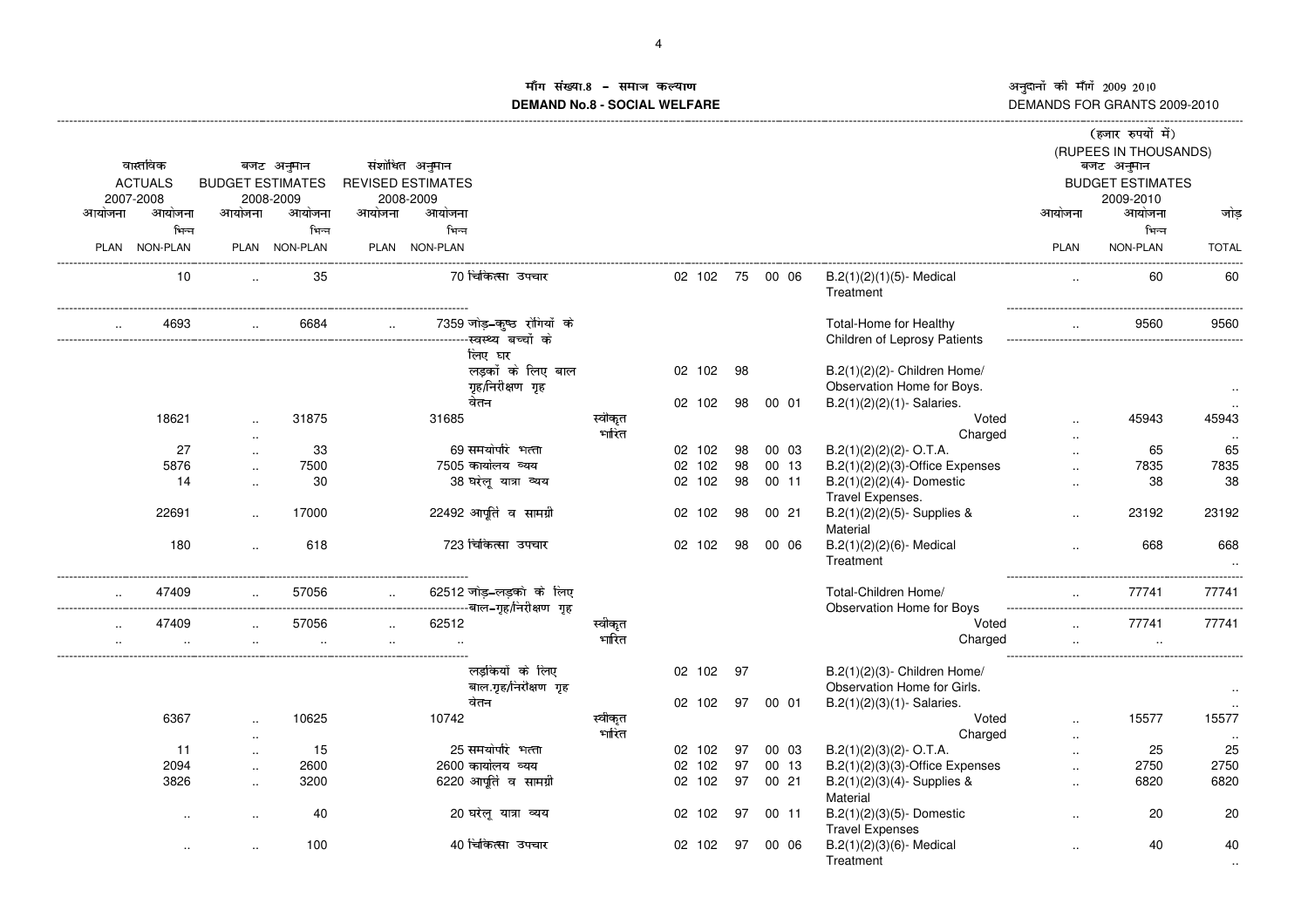طبی اللہ کا अनुदानों की माँगे 2009–2010<br>DEMANDS FOR GRANTS 2009-2010

# ाँग संख्या X[\ UQR]^\_R`XRabc**DEMAND No.8 - SOCIAL WELFARE**

|        |                |                                   |               |                      |                          |                                       |                  |                 |    |          |                                                            |                        | (हजार रुपयों में)       |              |
|--------|----------------|-----------------------------------|---------------|----------------------|--------------------------|---------------------------------------|------------------|-----------------|----|----------|------------------------------------------------------------|------------------------|-------------------------|--------------|
|        |                |                                   |               |                      |                          |                                       |                  |                 |    |          |                                                            |                        | (RUPEES IN THOUSANDS)   |              |
|        | वास्तविक       |                                   | बजट अनुमान    |                      | संशोधित अनुमान           |                                       |                  |                 |    |          |                                                            |                        | बजट अनुमान              |              |
|        | <b>ACTUALS</b> | <b>BUDGET ESTIMATES</b>           |               |                      | <b>REVISED ESTIMATES</b> |                                       |                  |                 |    |          |                                                            |                        | <b>BUDGET ESTIMATES</b> |              |
|        | 2007-2008      |                                   | 2008-2009     |                      | 2008-2009                |                                       |                  |                 |    |          |                                                            |                        | 2009-2010               |              |
| आयोजना | आयोजना         | आयोजना                            | आयोजना        | आयोजना               | आयोजना                   |                                       |                  |                 |    |          |                                                            | आयोजना                 | आयोजना                  | जोड          |
|        | भिन्न          |                                   | भिन्न         |                      | भिन्न                    |                                       |                  |                 |    |          |                                                            |                        | भिन्न                   |              |
|        | PLAN NON-PLAN  |                                   | PLAN NON-PLAN |                      | PLAN NON-PLAN            |                                       |                  |                 |    |          |                                                            | <b>PLAN</b>            | NON-PLAN                | <b>TOTAL</b> |
|        | 10             |                                   | 35            |                      |                          | 70 चिकित्सा उपचार                     |                  | 02 102 75 00 06 |    |          | $B.2(1)(2)(1)(5)$ - Medical<br>Treatment                   |                        | 60                      | 60           |
|        | 4693           | $\ddotsc$                         | 6684          | $\sim 10^{-1}$       |                          | 7359 जोड़-कुष्ठ रोगियों के            |                  |                 |    |          | Total-Home for Healthy<br>Children of Leprosy Patients     |                        | 9560                    | 9560         |
|        |                |                                   |               |                      |                          | लिए घर                                |                  |                 |    |          |                                                            |                        |                         |              |
|        |                |                                   |               |                      |                          | लड़कों के लिए बाल<br>गृह/निरीक्षण गृह |                  | 02 102          | 98 |          | B.2(1)(2)(2)- Children Home/<br>Observation Home for Boys. |                        |                         | $\sim$       |
|        |                |                                   |               |                      |                          | वेतन                                  |                  | 02 102          | 98 | 00 01    | $B.2(1)(2)(2)(1)$ - Salaries.                              |                        |                         |              |
|        | 18621          |                                   | 31875         |                      | 31685                    |                                       | स्वीकृत<br>भारित |                 |    |          | Voted<br>Charged                                           |                        | 45943                   | 45943        |
|        | 27             | $\cdot$ .<br>$\sim$               | 33            |                      |                          | 69 समयोर्पार भत्ता                    |                  | 02 102          | 98 | 00 03    | $B.2(1)(2)(2)(2) - O.T.A.$                                 | $\ddotsc$              | 65                      | 65           |
|        | 5876           | $\ddotsc$                         | 7500          |                      |                          | 7505 कार्यालय व्यय                    |                  | 02 102          | 98 | 00 13    | $B.2(1)(2)(2)(3)$ -Office Expenses                         |                        | 7835                    | 7835         |
|        | 14             | $\ddotsc$                         | 30            |                      |                          | 38 घरेलू यात्रा व्यय                  |                  | 02 102          | 98 | 00 11    | $B.2(1)(2)(2)(4)$ - Domestic                               |                        | 38                      | 38           |
|        |                |                                   |               |                      |                          |                                       |                  |                 |    |          | Travel Expenses.                                           |                        |                         |              |
|        | 22691          | $\ddotsc$                         | 17000         |                      |                          | 22492 आपूर्ति व सामग्री               |                  | 02 102          | 98 | 0021     | B.2(1)(2)(2)(5)- Supplies &<br>Material                    |                        | 23192                   | 23192        |
|        | 180            | $\ddot{\phantom{a}}$              | 618           |                      |                          | 723 चिकित्सा उपचार                    |                  | 02 102          | 98 | 00 06    | $B.2(1)(2)(2)(6)$ - Medical<br>Treatment                   |                        | 668                     | 668          |
|        | 47409          |                                   | 57056         | $\mathbf{r}$         |                          | 62512 जोड़–लड़को के लिए               |                  |                 |    |          | Total-Children Home/<br>Observation Home for Boys          | $\ddotsc$              | 77741                   | 77741        |
|        | 47409          |                                   | 57056         | $\ddot{\phantom{a}}$ | 62512                    |                                       | स्वीकृत          |                 |    |          | Voted                                                      |                        | 77741                   | 77741        |
|        |                |                                   |               |                      |                          |                                       | भारित            |                 |    |          | Charged                                                    |                        |                         |              |
|        |                |                                   |               |                      |                          | लडकियों के लिए                        |                  | 02 102          | 97 |          | B.2(1)(2)(3)- Children Home/                               |                        |                         |              |
|        |                |                                   |               |                      |                          | बाल.गृह/निरीक्षण गृह<br>वेतन          |                  |                 |    | 97 00 01 | Observation Home for Girls.                                |                        |                         | $\ddotsc$    |
|        | 6367           |                                   | 10625         |                      | 10742                    |                                       | स्वीकृत          | 02 102          |    |          | $B.2(1)(2)(3)(1)$ - Salaries.<br>Voted                     |                        | 15577                   | 15577        |
|        |                | $\ddotsc$                         |               |                      |                          |                                       | भारित            |                 |    |          | Charged                                                    |                        |                         |              |
|        | 11             | $\ddotsc$<br>$\ddot{\phantom{a}}$ | 15            |                      |                          | 25 समयोपरि भत्ता                      |                  | 02 102          | 97 | 00 03    | $B.2(1)(2)(3)(2)$ - O.T.A.                                 | $\cdot$ .<br>$\ddotsc$ | 25                      | 25           |
|        | 2094           | $\ddotsc$                         | 2600          |                      |                          | 2600 कार्यालय व्यय                    |                  | 02 102          | 97 | 00 13    | $B.2(1)(2)(3)(3)$ -Office Expenses                         |                        | 2750                    | 2750         |
|        | 3826           | $\ddotsc$                         | 3200          |                      |                          | 6220 आपूर्ति व सामग्री                |                  | 02 102          | 97 | 0021     | $B.2(1)(2)(3)(4)$ - Supplies &                             | $\cdot$ .              | 6820                    | 6820         |
|        |                |                                   |               |                      |                          |                                       |                  |                 |    |          | Material                                                   |                        |                         |              |
|        |                |                                   | 40            |                      |                          | 20 घरेलू यात्रा व्यय                  |                  | 02 102          | 97 | 00 11    | B.2(1)(2)(3)(5)-Domestic<br><b>Travel Expenses</b>         |                        | 20                      | 20           |
|        |                | $\ddot{\phantom{a}}$              | 100           |                      |                          | 40 चिकित्सा उपचार                     |                  | 02 102          | 97 | 00 06    | $B.2(1)(2)(3)(6)$ - Medical<br>Treatment                   | $\ddotsc$              | 40                      | 40           |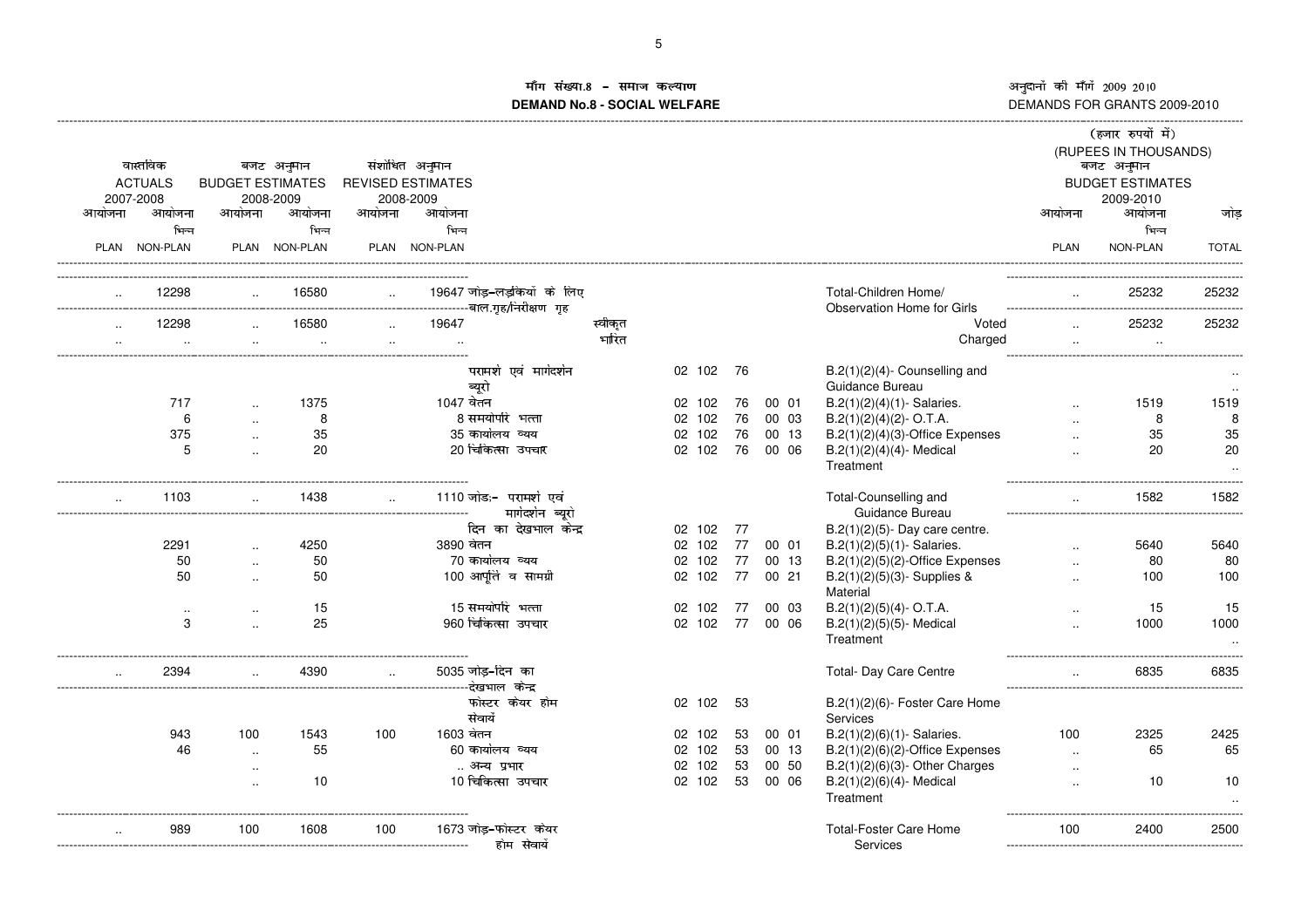# in संख्या ¨ª« ¥¡¢¬®¢¯¨¢°±²**DEMAND No.8 - SOCIAL WELFARE**

|        | वास्तविक<br><b>ACTUALS</b><br>2007-2008 | <b>BUDGET ESTIMATES</b> | बजट अनुमान<br>2008-2009 |        | संशोधित अनुमान<br><b>REVISED ESTIMATES</b><br>2008-2009 |                                                                                      |         |        |     |       |                                                           |                      | (हजार रुपयों में)<br>(RUPEES IN THOUSANDS)<br>बजट अनुमान<br><b>BUDGET ESTIMATES</b><br>2009-2010 |                 |
|--------|-----------------------------------------|-------------------------|-------------------------|--------|---------------------------------------------------------|--------------------------------------------------------------------------------------|---------|--------|-----|-------|-----------------------------------------------------------|----------------------|--------------------------------------------------------------------------------------------------|-----------------|
| आयोजना | आयोजना                                  | आयोजना                  | आयोजना                  | आयोजना | आयोजना                                                  |                                                                                      |         |        |     |       |                                                           | आयोजना               | आयोजना                                                                                           | जोड             |
|        | भिन्न                                   |                         | भिन्न                   |        | भिन्न                                                   |                                                                                      |         |        |     |       |                                                           |                      | भिन्न                                                                                            |                 |
|        | PLAN NON-PLAN                           |                         | PLAN NON-PLAN           |        | PLAN NON-PLAN                                           |                                                                                      |         |        |     |       |                                                           | PLAN                 | NON-PLAN                                                                                         | <b>TOTAL</b>    |
|        | 12298                                   |                         | 16580                   |        |                                                         | 19647 जोड़-लड़कियों के लिए<br>----------------------------------बाल.गृह/निरीक्षण गृह |         |        |     |       | Total-Children Home/<br><b>Observation Home for Girls</b> |                      | 25232                                                                                            | 25232           |
|        | 12298                                   |                         | 16580                   |        | 19647                                                   |                                                                                      | स्वीकृत |        |     |       | Voted                                                     |                      | 25232                                                                                            | 25232           |
|        |                                         |                         |                         |        | $\cdot$ .                                               |                                                                                      | भारित   |        |     |       | Charged                                                   |                      |                                                                                                  |                 |
|        |                                         |                         |                         |        |                                                         | परामर्श एवं मार्गदर्शन                                                               |         | 02 102 | 76  |       | $B.2(1)(2)(4)$ - Counselling and                          |                      |                                                                                                  |                 |
|        |                                         |                         |                         |        |                                                         | ब्यूरो                                                                               |         |        |     |       | Guidance Bureau                                           |                      |                                                                                                  |                 |
|        | 717                                     |                         | 1375                    |        | 1047 वेतन                                               |                                                                                      |         | 02 102 | 76  | 00 01 | $B.2(1)(2)(4)(1)$ - Salaries.                             |                      | 1519                                                                                             | 1519            |
|        | 6                                       | $\ddotsc$               | 8                       |        |                                                         | 8 समयोपरि भत्ता                                                                      |         | 02 102 | 76  | 00 03 | $B.2(1)(2)(4)(2) - O.T.A.$                                |                      | 8                                                                                                | 8               |
|        | 375                                     | $\ddotsc$               | 35                      |        |                                                         | 35 कार्यालय व्यय                                                                     |         | 02 102 | 76  | 00 13 | $B.2(1)(2)(4)(3)$ -Office Expenses                        |                      | 35                                                                                               | 35              |
|        | 5                                       | $\ddotsc$               | 20                      |        |                                                         | 20 चिकित्सा उपचार                                                                    |         | 02 102 | 76  | 00 06 | $B.2(1)(2)(4)(4)$ - Medical<br>Treatment                  | $\ddotsc$            | 20                                                                                               | 20              |
|        | 1103                                    |                         | 1438                    |        |                                                         | 1110 जोड;-  परामर्श  एवं<br>मार्गदर्शन ब्यूरो                                        |         |        |     |       | Total-Counselling and<br>Guidance Bureau                  | $\ddotsc$            | 1582                                                                                             | 1582            |
|        |                                         |                         |                         |        |                                                         | दिन का देखभाल केन्द्र                                                                |         | 02 102 | -77 |       | $B.2(1)(2)(5)$ - Day care centre.                         |                      |                                                                                                  |                 |
|        | 2291                                    |                         | 4250                    |        | 3890 वेतन                                               |                                                                                      |         | 02 102 | 77  | 00 01 | $B.2(1)(2)(5)(1)$ - Salaries.                             | $\ddot{\phantom{a}}$ | 5640                                                                                             | 5640            |
|        | 50                                      | $\ddotsc$               | 50                      |        |                                                         | 70 कार्यालय व्यय                                                                     |         | 02 102 | 77  | 00 13 | $B.2(1)(2)(5)(2)$ -Office Expenses                        |                      | 80                                                                                               | 80              |
|        | 50                                      | $\ddotsc$               | 50                      |        |                                                         | 100 आपूर्ति व सामग्री                                                                |         | 02 102 | 77  | 00 21 | $B.2(1)(2)(5)(3)$ - Supplies &<br>Material                |                      | 100                                                                                              | 100             |
|        | $\cdot$ .                               |                         | 15                      |        |                                                         | 15 समयोपरि भत्ता                                                                     |         | 02 102 | 77  | 00 03 | $B.2(1)(2)(5)(4)$ - O.T.A.                                |                      | 15                                                                                               | 15              |
|        | 3                                       |                         | 25                      |        |                                                         | 960 चिकित्सा उपचार                                                                   |         | 02 102 | 77  | 00 06 | B.2(1)(2)(5)(5)- Medical<br>Treatment                     |                      | 1000                                                                                             | 1000<br>$\cdot$ |
|        | 2394                                    |                         | 4390                    | $\sim$ |                                                         | 5035 जोड़-दिन का                                                                     |         |        |     |       | Total- Day Care Centre                                    |                      | 6835                                                                                             | 6835            |
|        |                                         |                         |                         |        |                                                         | फोस्टर केयर होम<br>सेवायें                                                           |         | 02 102 | -53 |       | B.2(1)(2)(6)- Foster Care Home<br>Services                |                      |                                                                                                  |                 |
|        | 943                                     | 100                     | 1543                    | 100    | 1603 वेतन                                               |                                                                                      |         | 02 102 | 53  | 00 01 | $B.2(1)(2)(6)(1)$ - Salaries.                             | 100                  | 2325                                                                                             | 2425            |
|        | 46                                      | $\ddot{\phantom{a}}$    | 55                      |        |                                                         | 60 कार्यालय व्यय                                                                     |         | 02 102 | 53  | 00 13 | $B.2(1)(2)(6)(2)$ -Office Expenses                        | $\sim$               | 65                                                                                               | 65              |
|        |                                         | $\cdot$ .               |                         |        |                                                         | अन्य प्रभार                                                                          |         | 02 102 | 53  | 00 50 | $B.2(1)(2)(6)(3)$ - Other Charges                         | $\cdot$ .            |                                                                                                  |                 |
|        |                                         |                         | 10                      |        |                                                         | 10 चिकित्सा उपचार                                                                    |         | 02 102 | 53  | 00 06 | $B.2(1)(2)(6)(4)$ - Medical<br>Treatment                  |                      | 10                                                                                               | 10              |
|        | 989                                     | 100                     | 1608                    | 100    |                                                         | 1673 जोड़–फोस्टर केयर<br>होम सेवार्ये                                                |         |        |     |       | <b>Total-Foster Care Home</b><br>Services                 | 100                  | 2400                                                                                             | 2500            |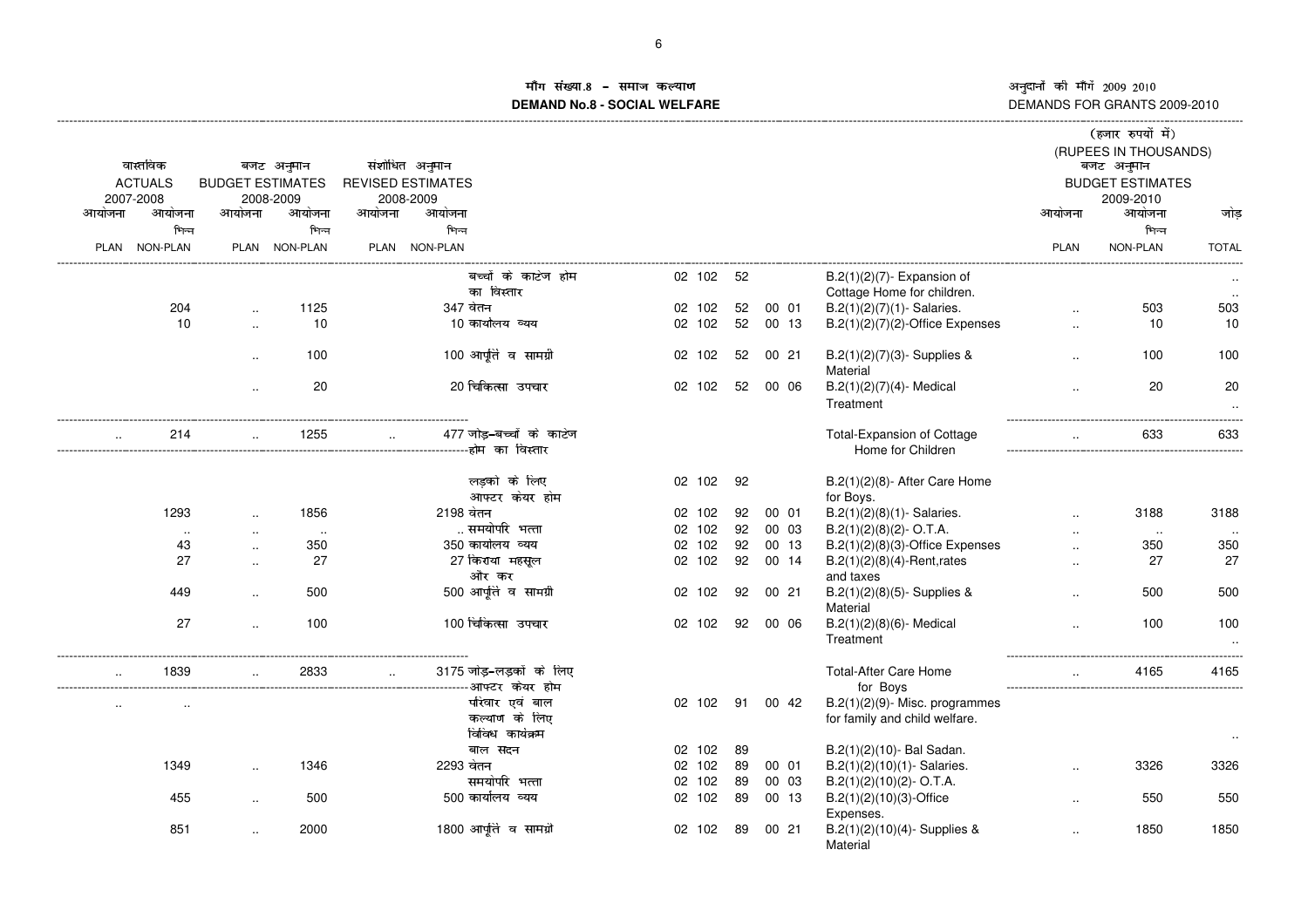# ांग संख्या \* मोग**ंसख्या.8 – समाज कल्याण**<br>DEMAND No.8 - SOCIAL WELFARE DI

|        |                |                         |               |              |                                     |        |    |          |                                    |                      | (हजार रुपयों में)                   |              |
|--------|----------------|-------------------------|---------------|--------------|-------------------------------------|--------|----|----------|------------------------------------|----------------------|-------------------------------------|--------------|
|        | वास्तविक       |                         | बजट अनुमान    |              | संशोधित अनुमान                      |        |    |          |                                    |                      | (RUPEES IN THOUSANDS)<br>बजट अनुमान |              |
|        | <b>ACTUALS</b> | <b>BUDGET ESTIMATES</b> |               |              | <b>REVISED ESTIMATES</b>            |        |    |          |                                    |                      | <b>BUDGET ESTIMATES</b>             |              |
|        | 2007-2008      |                         | 2008-2009     |              | 2008-2009                           |        |    |          |                                    |                      | 2009-2010                           |              |
| आयोजना | आयोजना         | आयोजना                  | आयोजना        | आयोजना       | आयोजना                              |        |    |          |                                    | आयोजना               | आयोजना                              | जोड          |
|        | भिन्न          |                         | भिन्न         |              | भिन्न                               |        |    |          |                                    |                      | भिन्न                               |              |
|        |                |                         |               |              |                                     |        |    |          |                                    |                      |                                     |              |
|        | PLAN NON-PLAN  |                         | PLAN NON-PLAN |              | PLAN NON-PLAN                       |        |    |          |                                    | <b>PLAN</b>          | NON-PLAN                            | <b>TOTAL</b> |
|        |                |                         |               |              | बच्चों के काटेज होम                 | 02 102 | 52 |          | $B.2(1)(2)(7)$ - Expansion of      |                      |                                     |              |
|        |                |                         |               |              | का विस्तार                          |        |    |          | Cottage Home for children.         |                      |                                     |              |
|        | 204            |                         | 1125          |              | 347 वेतन                            | 02 102 | 52 | 00 01    | $B.2(1)(2)(7)(1)$ - Salaries.      | $\ddotsc$            | 503                                 | 503          |
|        | 10             | $\ddotsc$               | 10            |              | 10 कार्यालय व्यय                    | 02 102 | 52 | 00 13    | $B.2(1)(2)(7)(2)$ -Office Expenses | $\cdot$ .            | 10                                  | 10           |
|        |                |                         |               |              |                                     |        |    |          |                                    |                      |                                     |              |
|        |                | $\ddotsc$               | 100           |              | 100 आपूर्ति व सामग्री               | 02 102 | 52 | 0021     | $B.2(1)(2)(7)(3)$ - Supplies &     | $\ddotsc$            | 100                                 | 100          |
|        |                |                         |               |              |                                     |        |    |          | Material                           |                      |                                     |              |
|        |                | $\ddot{\phantom{a}}$    | 20            |              | 20 चिकित्सा उपचार                   | 02 102 | 52 | 00 06    | $B.2(1)(2)(7)(4)$ - Medical        | $\ddotsc$            | 20                                  | 20           |
|        |                |                         |               |              |                                     |        |    |          | Treatment                          |                      |                                     | $\cdot$ .    |
|        |                |                         |               |              |                                     |        |    |          |                                    |                      |                                     |              |
|        | 214            |                         | 1255          | $\mathbf{r}$ | 477 जोड़-बच्चों के काटेज            |        |    |          | Total-Expansion of Cottage         |                      | 633                                 | 633          |
|        |                |                         |               |              | ---------------------होम का विस्तार |        |    |          | Home for Children                  |                      |                                     |              |
|        |                |                         |               |              |                                     |        |    |          |                                    |                      |                                     |              |
|        |                |                         |               |              | लडको के लिए                         | 02 102 | 92 |          | B.2(1)(2)(8)- After Care Home      |                      |                                     |              |
|        |                |                         |               |              | आफ्टर केयर होम                      |        |    |          | for Boys.                          |                      |                                     |              |
|        | 1293           | $\sim$                  | 1856          |              | 2198 वेतन                           | 02 102 | 92 | 00 01    | $B.2(1)(2)(8)(1)$ - Salaries.      | $\ddotsc$            | 3188                                | 3188         |
|        | $\sim$         | $\ddotsc$               | $\ddotsc$     |              | समयोपरि भत्ता                       | 02 102 | 92 | 00 03    | $B.2(1)(2)(8)(2)$ - O.T.A.         |                      | $\sim$                              |              |
|        | 43             | $\ddotsc$               | 350           |              | 350 कार्यालय व्यय                   | 02 102 | 92 | 00 13    | $B.2(1)(2)(8)(3)$ -Office Expenses |                      | 350                                 | 350          |
|        | 27             | $\ddotsc$               | 27            |              | 27 किराया महसूल                     | 02 102 | 92 | 00 14    | $B.2(1)(2)(8)(4)$ -Rent, rates     | $\cdot$ .            | 27                                  | 27           |
|        |                |                         |               |              | और कर                               |        |    |          | and taxes                          |                      |                                     |              |
|        | 449            | $\ddotsc$               | 500           |              | 500 आपूर्ति व सामग्री               | 02 102 | 92 | 00 21    | $B.2(1)(2)(8)(5)$ - Supplies &     |                      | 500                                 | 500          |
|        |                |                         |               |              |                                     |        |    |          | Material                           |                      |                                     |              |
|        | 27             | $\ddotsc$               | 100           |              | 100 चिकित्सा उपचार                  | 02 102 | 92 | 00 06    | $B.2(1)(2)(8)(6)$ - Medical        | $\ddot{\phantom{a}}$ | 100                                 | 100          |
|        |                |                         |               |              |                                     |        |    |          | Treatment                          |                      |                                     |              |
|        |                |                         |               |              |                                     |        |    |          |                                    |                      |                                     |              |
|        | 1839           |                         | 2833          | $\mathbf{r}$ | 3175 जोड़-लड़कों के लिए             |        |    |          | <b>Total-After Care Home</b>       |                      | 4165                                | 4165         |
|        |                |                         |               |              |                                     |        |    |          | for Boys                           |                      |                                     |              |
|        |                |                         |               |              | परिवार एवं बाल                      | 02 102 |    | 91 00 42 | $B.2(1)(2)(9)$ - Misc. programmes  |                      |                                     |              |
|        |                |                         |               |              | कल्याण के लिए                       |        |    |          | for family and child welfare.      |                      |                                     |              |
|        |                |                         |               |              | विविध कार्यक्रम                     |        |    |          |                                    |                      |                                     |              |
|        |                |                         |               |              | बाल सदन                             | 02 102 | 89 |          | B.2(1)(2)(10)- Bal Sadan.          |                      |                                     | $\sim$       |
|        | 1349           |                         | 1346          |              | 2293 वेतन                           | 02 102 | 89 | 00 01    | B.2(1)(2)(10)(1)-Salaries.         |                      | 3326                                | 3326         |
|        |                | $\ddotsc$               |               |              | समयोपरि भत्ता                       | 02 102 | 89 | 00 03    | $B.2(1)(2)(10)(2)$ - O.T.A.        | $\ddot{\phantom{a}}$ |                                     |              |
|        |                |                         |               |              |                                     |        |    |          |                                    |                      |                                     |              |
|        | 455            | $\sim$                  | 500           |              | 500 कार्यालय व्यय                   | 02 102 | 89 | 00 13    | $B.2(1)(2)(10)(3)$ -Office         | $\ddotsc$            | 550                                 | 550          |
|        |                |                         |               |              | 1800 आपूर्ति व सामग्री              |        |    |          | Expenses.                          |                      |                                     |              |
|        | 851            |                         | 2000          |              |                                     | 02 102 | 89 | 00 21    | $B.2(1)(2)(10)(4)$ - Supplies &    | $\ddot{\phantom{a}}$ | 1850                                | 1850         |
|        |                |                         |               |              |                                     |        |    |          | Material                           |                      |                                     |              |
|        |                |                         |               |              |                                     |        |    |          |                                    |                      |                                     |              |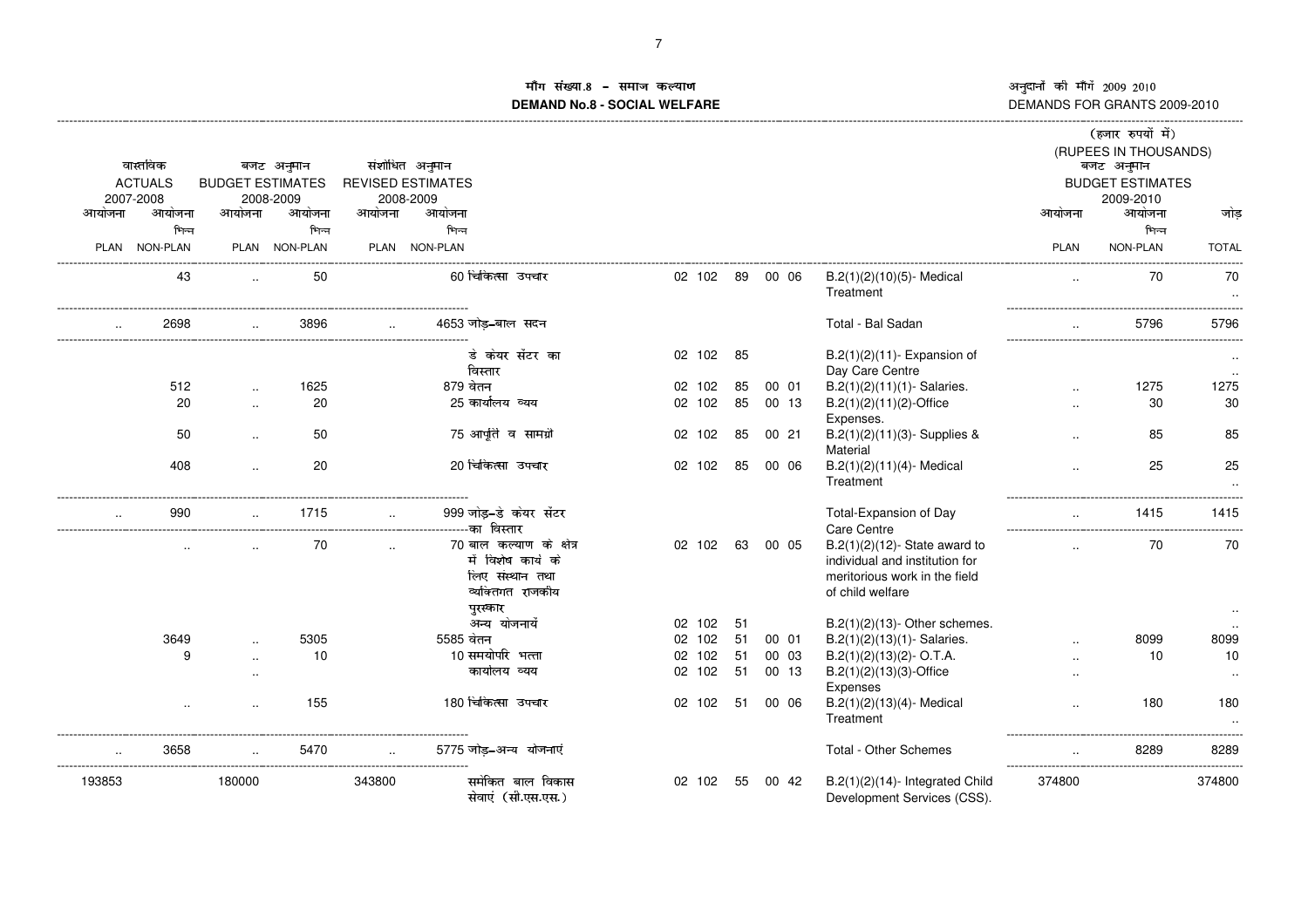# ाँग संख्या ÁÃÄ ¾º»ÅÆÇ»ÈÁ»ÉÊ6Ë**DEMAND No.8 - SOCIAL WELFARE**

|        |                     |                         |                     |             |                                       |        |    |       |                                                                    |                      | (हजार रुपयों में)       |              |
|--------|---------------------|-------------------------|---------------------|-------------|---------------------------------------|--------|----|-------|--------------------------------------------------------------------|----------------------|-------------------------|--------------|
|        |                     |                         |                     |             |                                       |        |    |       |                                                                    |                      | (RUPEES IN THOUSANDS)   |              |
|        | वास्तविक            |                         | बजट अनुमान          |             | संशोधित अनुमान                        |        |    |       |                                                                    |                      | बजट अनुमान              |              |
|        | <b>ACTUALS</b>      | <b>BUDGET ESTIMATES</b> |                     |             | <b>REVISED ESTIMATES</b>              |        |    |       |                                                                    |                      | <b>BUDGET ESTIMATES</b> |              |
| आयोजना | 2007-2008<br>आयोजना | आयोजना                  | 2008-2009<br>आयोजना | आयोजना      | 2008-2009<br>आयोजना                   |        |    |       |                                                                    | आयोजना               | 2009-2010<br>आयोजना     | जोड          |
|        | भिन्न               |                         | भिन्न               |             | भिन्न                                 |        |    |       |                                                                    |                      | भिन्न                   |              |
| PLAN   | <b>NON-PLAN</b>     |                         | PLAN NON-PLAN       | <b>PLAN</b> | <b>NON-PLAN</b>                       |        |    |       |                                                                    | <b>PLAN</b>          | NON-PLAN                | <b>TOTAL</b> |
|        |                     |                         |                     |             |                                       |        |    |       |                                                                    |                      |                         |              |
|        | 43                  | $\ddot{\phantom{a}}$    | 50                  |             | 60 चिकित्सा उपचार                     | 02 102 | 89 | 00 06 | B.2(1)(2)(10)(5)- Medical<br>Treatment                             | $\ddot{\phantom{a}}$ | 70                      | 70           |
|        | 2698                |                         | 3896                |             | 4653 जोड-बाल सदन                      |        |    |       | Total - Bal Sadan                                                  |                      | 5796                    | 5796         |
|        |                     |                         |                     |             | डे केयर सेंटर का                      | 02 102 | 85 |       | $B.2(1)(2)(11)$ - Expansion of                                     |                      |                         |              |
|        |                     |                         |                     |             | विस्तार                               |        |    |       | Day Care Centre                                                    |                      |                         |              |
|        | 512                 | $\ddotsc$               | 1625                |             | 879 वेतन                              | 02 102 | 85 | 00 01 | $B.2(1)(2)(11)(1)$ - Salaries.                                     | $\ddotsc$            | 1275                    | 1275         |
|        | 20                  | $\ddot{\phantom{a}}$    | 20                  |             | 25 कार्यालय व्यय                      | 02 102 | 85 | 00 13 | B.2(1)(2)(11)(2)-Office                                            |                      | 30                      | 30           |
|        |                     |                         |                     |             |                                       |        |    |       | Expenses.                                                          |                      |                         |              |
|        | 50                  | $\ddotsc$               | 50                  |             | 75 आपूर्ति व सामग्री                  | 02 102 | 85 | 0021  | $B.2(1)(2)(11)(3)$ - Supplies &<br>Material                        |                      | 85                      | 85           |
|        | 408                 |                         | 20                  |             | 20 चिकित्सा उपचार                     | 02 102 | 85 | 00 06 | $B.2(1)(2)(11)(4)$ - Medical                                       |                      | 25                      | 25           |
|        |                     |                         |                     |             |                                       |        |    |       | Treatment                                                          |                      |                         |              |
|        | 990                 |                         | 1715                |             | 999 जोड़-डे केयर सेंटर                |        |    |       | Total-Expansion of Day                                             | $\ddotsc$            | 1415                    | 1415         |
|        |                     |                         |                     |             |                                       |        |    |       | Care Centre                                                        |                      |                         |              |
|        |                     |                         | 70                  |             | 70 बाल कल्याण के क्षेत्र              | 02 102 | 63 | 00 05 | $B.2(1)(2)(12)$ - State award to                                   |                      | 70                      | 70           |
|        |                     |                         |                     |             | में विशेष कार्य के                    |        |    |       | individual and institution for                                     |                      |                         |              |
|        |                     |                         |                     |             | लिए संस्थान तथा                       |        |    |       | meritorious work in the field                                      |                      |                         |              |
|        |                     |                         |                     |             | व्यक्तिगत राजकीय                      |        |    |       | of child welfare                                                   |                      |                         |              |
|        |                     |                         |                     |             | पुरस्कार<br>अन्य योजनायें             | 02 102 | 51 |       |                                                                    |                      |                         |              |
|        | 3649                |                         | 5305                |             | 5585 वेतन                             | 02 102 | 51 | 00 01 | $B.2(1)(2)(13)$ - Other schemes.<br>$B.2(1)(2)(13)(1)$ - Salaries. |                      | 8099                    | 8099         |
|        | 9                   |                         | 10                  |             | 10 समयोर्पार भत्ता                    | 02 102 | 51 | 00 03 | $B.2(1)(2)(13)(2)$ - O.T.A.                                        |                      | 10                      | 10           |
|        |                     | $\ddotsc$<br>$\ddotsc$  |                     |             | कार्यालय व्यय                         | 02 102 | 51 | 00 13 | $B.2(1)(2)(13)(3)$ -Office                                         |                      |                         | $\ddotsc$    |
|        |                     |                         |                     |             |                                       |        |    |       | Expenses                                                           | $\ddotsc$            |                         |              |
|        |                     |                         | 155                 |             | 180 चिकित्सा उपचार                    | 02 102 | 51 | 00 06 | $B.2(1)(2)(13)(4)$ - Medical                                       | $\ddotsc$            | 180                     | 180          |
|        |                     |                         |                     |             |                                       |        |    |       | Treatment                                                          |                      |                         |              |
|        | 3658                |                         | 5470                |             | 5775 जोड़–अन्य योजनाएं                |        |    |       | Total - Other Schemes                                              |                      | 8289                    | 8289         |
| 193853 |                     | 180000                  |                     | 343800      | -----------------<br>समेकित बाल विकास | 02 102 | 55 | 00 42 | $B.2(1)(2)(14)$ - Integrated Child                                 | 374800               |                         | 374800       |
|        |                     |                         |                     |             | सेवाएं (सी.एस.एस.)                    |        |    |       | Development Services (CSS).                                        |                      |                         |              |
|        |                     |                         |                     |             |                                       |        |    |       |                                                                    |                      |                         |              |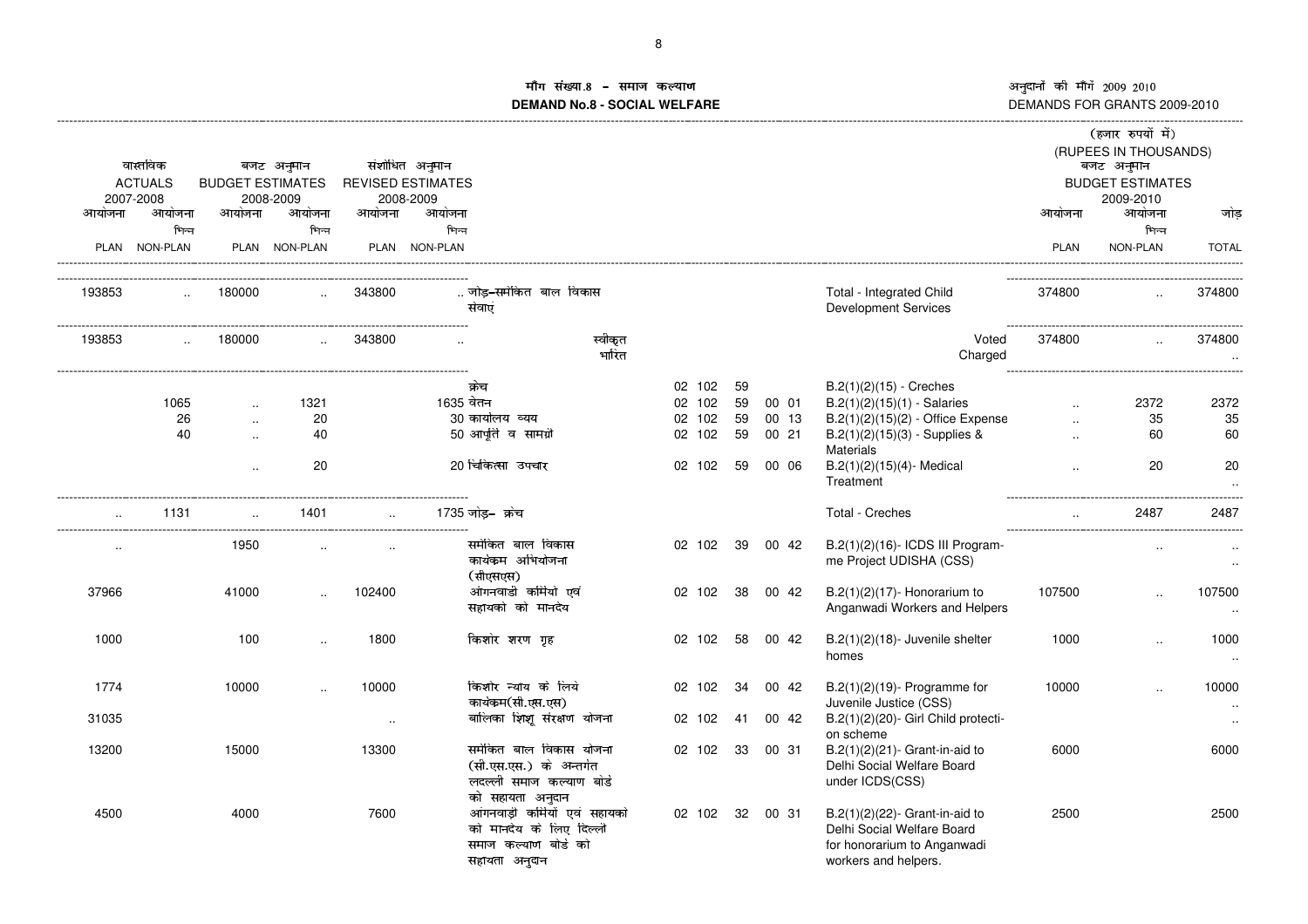(

# .<br>ग संख्या.8 – समाज कल्याण माग सख्या.**8 – समाज कल्याण**<br>DEMAND No.8 - SOCIAL WELFARE

|           |                |                         |               |           |                                                                                                   |                  |        |     |                 |                                                                                                                        |           | (हजार रुपयों में)<br>(RUPEES IN THOUSANDS) |                        |
|-----------|----------------|-------------------------|---------------|-----------|---------------------------------------------------------------------------------------------------|------------------|--------|-----|-----------------|------------------------------------------------------------------------------------------------------------------------|-----------|--------------------------------------------|------------------------|
|           | वास्तविक       |                         | बजट अनुमान    |           | संशोधित अनुमान                                                                                    |                  |        |     |                 |                                                                                                                        |           | बजट अनुमान                                 |                        |
|           | <b>ACTUALS</b> | <b>BUDGET ESTIMATES</b> |               |           | <b>REVISED ESTIMATES</b>                                                                          |                  |        |     |                 |                                                                                                                        |           | <b>BUDGET ESTIMATES</b>                    |                        |
|           | 2007-2008      |                         | 2008-2009     |           | 2008-2009                                                                                         |                  |        |     |                 |                                                                                                                        |           | 2009-2010                                  |                        |
| आयोजना    | आयोजना         | आयोजना                  | आयोजना        | आयोजना    | आयोजना                                                                                            |                  |        |     |                 |                                                                                                                        | आयोजना    | आयोजना                                     | जोड                    |
|           | भिन्न          |                         | भिन्न         |           | भिन्न                                                                                             |                  |        |     |                 |                                                                                                                        |           | भिन्न                                      |                        |
|           | PLAN NON-PLAN  |                         | PLAN NON-PLAN |           | PLAN NON-PLAN                                                                                     |                  |        |     |                 |                                                                                                                        | PLAN      | NON-PLAN                                   | <b>TOTAL</b>           |
| 193853    | $\sim$         | 180000                  | $\ddotsc$     | 343800    | जोड–समेकित बाल विकास<br>सेवाएं                                                                    |                  |        |     |                 | Total - Integrated Child<br><b>Development Services</b>                                                                | 374800    | $\ddotsc$                                  | 374800                 |
| 193853    | $\overline{a}$ | 180000                  | $\ddotsc$     | 343800    | ------------------------------<br>$\overline{\phantom{a}}$                                        | स्वीकृत<br>भारित |        |     |                 | Voted<br>Charged                                                                                                       | 374800    | $\overline{\phantom{a}}$                   | 374800<br>$\ddotsc$    |
|           |                |                         |               |           | क्रेच                                                                                             |                  | 02 102 | 59  |                 | $B.2(1)(2)(15)$ - Creches                                                                                              |           |                                            |                        |
|           | 1065           |                         | 1321          |           | 1635 वेतन                                                                                         |                  | 02 102 | 59  | 00 01           | $B.2(1)(2)(15)(1) - Salaries$                                                                                          | $\ddotsc$ | 2372                                       | 2372                   |
|           | 26             | $\ddotsc$               | 20            |           | 30 कार्यालय व्यय                                                                                  |                  | 02 102 | 59  | 00 13           | $B.2(1)(2)(15)(2)$ - Office Expense                                                                                    | $\ddotsc$ | 35                                         | 35                     |
|           | 40             | $\sim$                  | 40            |           | 50 आपति व सामग्री                                                                                 |                  | 02 102 | 59  | 00 21           | $B.2(1)(2)(15)(3)$ - Supplies &                                                                                        | $\sim$    | 60                                         | 60                     |
|           |                | $\ddotsc$               | 20            |           | 20 चिकित्सा उपचार                                                                                 |                  | 02 102 | 59  | 00 06           | <b>Materials</b><br>B.2(1)(2)(15)(4)- Medical<br>Treatment                                                             | $\ddotsc$ | 20                                         | 20<br>$\ddotsc$        |
|           | 1131           |                         | 1401          |           | 1735 जोड-  क्रेच                                                                                  |                  |        |     |                 | Total - Creches                                                                                                        |           | 2487                                       | 2487                   |
| $\cdot$ . |                | 1950                    | $\cdot$       |           | समेकित बाल विकास<br>कार्यक्रम अभियोजना<br>(सीएसएस)                                                |                  | 02 102 |     | 39 00 42        | B.2(1)(2)(16)- ICDS III Program-<br>me Project UDISHA (CSS)                                                            |           | $\cdot$                                    | $\cdot$ .              |
| 37966     |                | 41000                   |               | 102400    | आंगनवाडी कर्मियो एवं<br>सहायको को मानदेय                                                          |                  | 02 102 | -38 | 00 42           | $B.2(1)(2)(17)$ - Honorarium to<br>Anganwadi Workers and Helpers                                                       | 107500    |                                            | 107500                 |
| 1000      |                | 100                     |               | 1800      | किशोर शरण गृह                                                                                     |                  | 02 102 | 58  | 00 42           | $B.2(1)(2)(18)$ - Juvenile shelter<br>homes                                                                            | 1000      | $\ddot{\phantom{a}}$                       | 1000<br>$\ddotsc$      |
| 1774      |                | 10000                   |               | 10000     | किशोर न्याय के लिये<br>कार्यकम(सी.एस.एस)                                                          |                  | 02 102 | 34  | 00 42           | $B.2(1)(2)(19)$ - Programme for<br>Juvenile Justice (CSS)                                                              | 10000     |                                            | 10000<br>$\sim$ $\sim$ |
| 31035     |                |                         |               | $\cdot$ . | बालिका शिशू संरक्षण योजना                                                                         |                  | 02 102 | 41  | 00 42           | B.2(1)(2)(20)- Girl Child protecti-                                                                                    |           |                                            | $\sim$                 |
| 13200     |                | 15000                   |               | 13300     | समेकित बाल विकास योजना<br>(सी.एस.एस.) के अन्तर्गत<br>लदल्ली समाज कल्याण बोर्ड<br>को सहायता अनुदान |                  | 02 102 | 33  | 00 31           | on scheme<br>B.2(1)(2)(21)- Grant-in-aid to<br>Delhi Social Welfare Board<br>under ICDS(CSS)                           | 6000      |                                            | 6000                   |
| 4500      |                | 4000                    |               | 7600      | आंगनवाड़ी कर्मियों एवं सहायको<br>को मानदेय के लिए दिल्ली<br>समाज कल्याण बोर्ड को<br>सहायता अनुदान |                  |        |     | 02 102 32 00 31 | $B.2(1)(2)(22)$ - Grant-in-aid to<br>Delhi Social Welfare Board<br>for honorarium to Anganwadi<br>workers and helpers. | 2500      |                                            | 2500                   |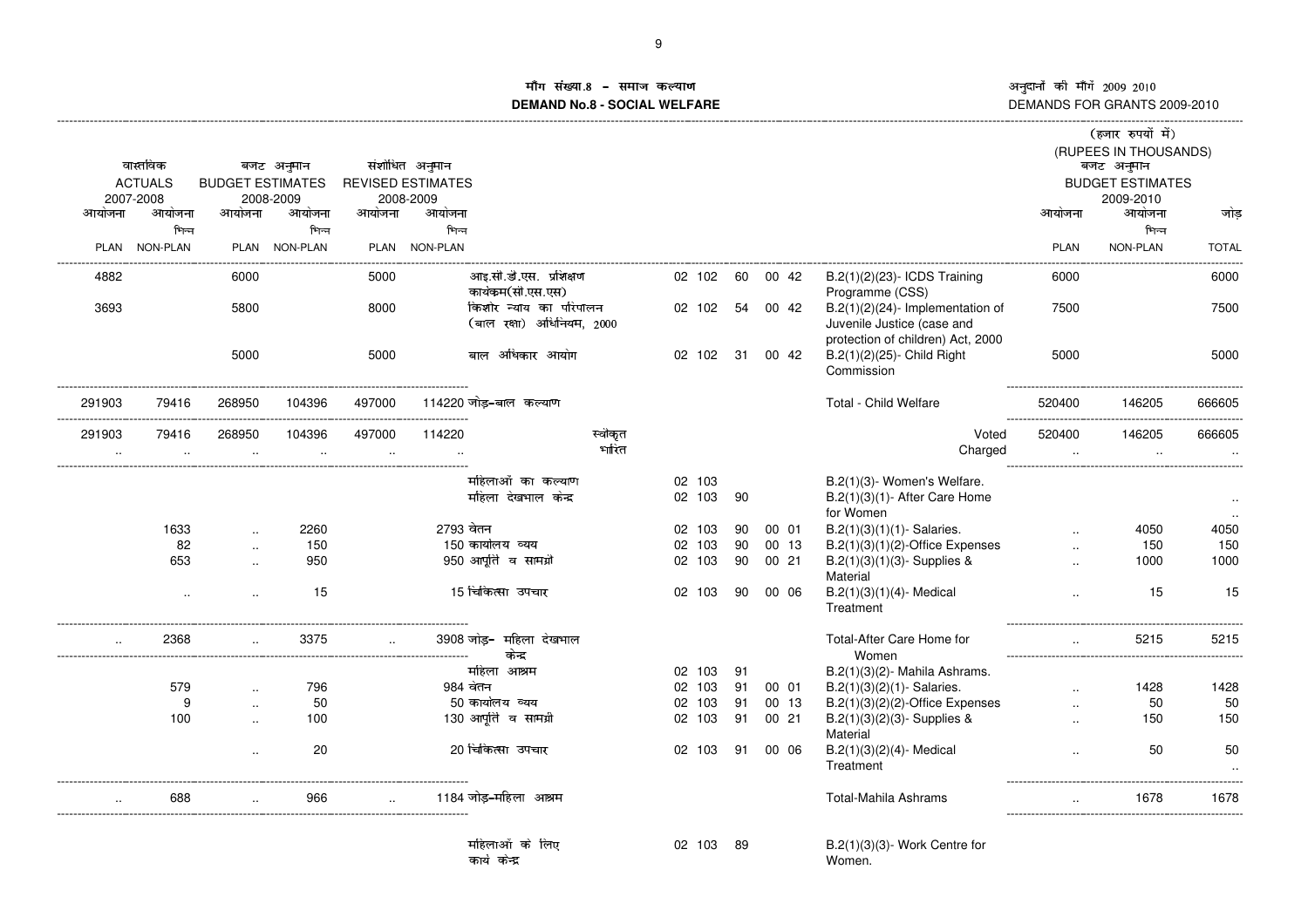### ग संख्या ]\_` ZVWabcWd]Wefg**DEMAND No.8 - SOCIAL WELFARE**

|           |                 |                          |               |                      |                          |                                                     |         |           |    |          |                                                                               |             | (हजार रुपयों में)       |              |
|-----------|-----------------|--------------------------|---------------|----------------------|--------------------------|-----------------------------------------------------|---------|-----------|----|----------|-------------------------------------------------------------------------------|-------------|-------------------------|--------------|
|           |                 |                          |               |                      |                          |                                                     |         |           |    |          |                                                                               |             | (RUPEES IN THOUSANDS)   |              |
|           | वास्तविक        |                          | बजट अनुमान    |                      | संशोधित अनुमान           |                                                     |         |           |    |          |                                                                               |             | बजट अनुमान              |              |
|           | <b>ACTUALS</b>  | <b>BUDGET ESTIMATES</b>  |               |                      | <b>REVISED ESTIMATES</b> |                                                     |         |           |    |          |                                                                               |             | <b>BUDGET ESTIMATES</b> |              |
|           | 2007-2008       |                          | 2008-2009     |                      | 2008-2009                |                                                     |         |           |    |          |                                                                               |             | 2009-2010               |              |
| आयोजना    | आयोजना          | आयोजना                   | आयोजना        | आयोजना               | आयोजना                   |                                                     |         |           |    |          |                                                                               | आयोजना      | आयोजना                  | जोड          |
|           | भिन्न           |                          | भिन्न         |                      | भिन्न                    |                                                     |         |           |    |          |                                                                               |             | भिन्न                   |              |
| PLAN      | <b>NON-PLAN</b> |                          | PLAN NON-PLAN |                      | PLAN NON-PLAN            |                                                     |         |           |    |          |                                                                               | <b>PLAN</b> | NON-PLAN                | <b>TOTAL</b> |
| 4882      |                 | 6000                     |               | 5000                 |                          | आइ.सी.डी.एस. प्रशिक्षण<br>कार्यकम(सी.एस.एस)         |         | 02 102    | 60 | 00 42    | B.2(1)(2)(23)- ICDS Training<br>Programme (CSS)                               | 6000        |                         | 6000         |
| 3693      |                 | 5800                     |               | 8000                 |                          | किशोर न्याय का परिपालन<br>(बाल रक्षा) अधिनियम, 2000 |         | 02 102    |    | 54 00 42 | $B.2(1)(2)(24)$ - Implementation of<br>Juvenile Justice (case and             | 7500        |                         | 7500         |
|           |                 | 5000                     |               | 5000                 |                          | बाल अधिकार आयोग                                     |         | 02 102    | 31 | 00 42    | protection of children) Act, 2000<br>B.2(1)(2)(25)- Child Right<br>Commission | 5000        |                         | 5000         |
| 291903    | 79416           | 268950                   | 104396        | 497000               | 114220 जोड-बाल कल्याण    |                                                     |         |           |    |          | Total - Child Welfare                                                         | 520400      | 146205                  | 666605       |
|           |                 |                          |               |                      |                          |                                                     |         |           |    |          |                                                                               |             |                         |              |
| 291903    | 79416           | 268950                   | 104396        | 497000               | 114220                   |                                                     | स्वीकृत |           |    |          | Voted                                                                         | 520400      | 146205                  | 666605       |
| $\cdot$ . | $\cdot$         | $\overline{\phantom{a}}$ |               | $\ddot{\phantom{a}}$ |                          |                                                     | भारित   |           |    |          | Charged                                                                       | $\ddotsc$   | $\cdot$                 |              |
|           |                 |                          |               |                      |                          | महिलाओं का कल्याण                                   |         | 02 103    |    |          | B.2(1)(3)- Women's Welfare.                                                   |             |                         |              |
|           |                 |                          |               |                      |                          | महिला देखभाल केन्द्र                                |         | 02 103    | 90 |          | $B.2(1)(3)(1)$ - After Care Home                                              |             |                         | $\sim$       |
|           |                 |                          |               |                      |                          |                                                     |         |           |    |          | for Women                                                                     |             |                         |              |
|           | 1633            |                          | 2260          |                      | 2793 वेतन                |                                                     |         | 02 103    | 90 | 00 01    | $B.2(1)(3)(1)(1)$ - Salaries.                                                 |             | 4050                    | 4050         |
|           | 82              | $\ddot{\phantom{a}}$     | 150           |                      | 150 कार्यालय व्यय        |                                                     |         | 02<br>103 | 90 | 00 13    | $B.2(1)(3)(1)(2)$ -Office Expenses                                            |             | 150                     | 150          |
|           | 653             |                          | 950           |                      |                          | 950 आपूर्ति व सामग्री                               |         | 02 103    | 90 | 00 21    | $B.2(1)(3)(1)(3)$ - Supplies &                                                |             | 1000                    | 1000         |
|           |                 |                          |               |                      |                          |                                                     |         |           |    |          | Material                                                                      |             |                         |              |
|           | $\ddotsc$       |                          | 15            |                      |                          | 15 चिकित्सा उपचार                                   |         | 02 103    | 90 | 00 06    | $B.2(1)(3)(1)(4)$ - Medical<br>Treatment                                      |             | 15                      | 15           |
| $\ddotsc$ | 2368            |                          | 3375          |                      |                          | 3908 जोड– महिला देखभाल<br>केन्द्र                   |         |           |    |          | Total-After Care Home for<br>Women                                            | $\ddotsc$   | 5215                    | 5215         |
|           |                 |                          |               |                      |                          | महिला आश्रम                                         |         | 02 103    | 91 |          | $B.2(1)(3)(2)$ - Mahila Ashrams.                                              |             |                         |              |
|           | 579             |                          | 796           |                      | 984 बेतन                 |                                                     |         | 02 103    | 91 | 00 01    | $B.2(1)(3)(2)(1)$ - Salaries.                                                 | $\ddotsc$   | 1428                    | 1428         |
|           | g               | $\overline{\phantom{a}}$ | 50            |                      | 50 कार्यालय व्यय         |                                                     |         | 02 103    | 91 | 00 13    | $B.2(1)(3)(2)(2)$ -Office Expenses                                            | $\sim$      | 50                      | 50           |
|           | 100             |                          | 100           |                      |                          | 130 आपूर्ति व सामग्री                               |         | 02 103    | 91 | 00 21    | $B.2(1)(3)(2)(3)$ - Supplies &                                                |             | 150                     | 150          |
|           |                 |                          |               |                      |                          |                                                     |         |           |    |          | Material                                                                      |             |                         |              |
|           |                 |                          | 20            |                      |                          | 20 चिकित्सा उपचार                                   |         | 02 103    | 91 | 00 06    | $B.2(1)(3)(2)(4)$ - Medical<br>Treatment                                      |             | 50                      | 50           |
|           | 688             |                          | 966           |                      |                          | 1184 जोड-महिला आश्रम                                |         |           |    |          | <b>Total-Mahila Ashrams</b>                                                   |             | 1678                    | 1678         |
|           |                 |                          |               |                      |                          | महिलाओं के लिए                                      |         |           | 89 |          |                                                                               |             |                         |              |
|           |                 |                          |               |                      | कार्य केन्द्र            |                                                     |         | 02 103    |    |          | $B.2(1)(3)(3)$ - Work Centre for<br>Women.                                    |             |                         |              |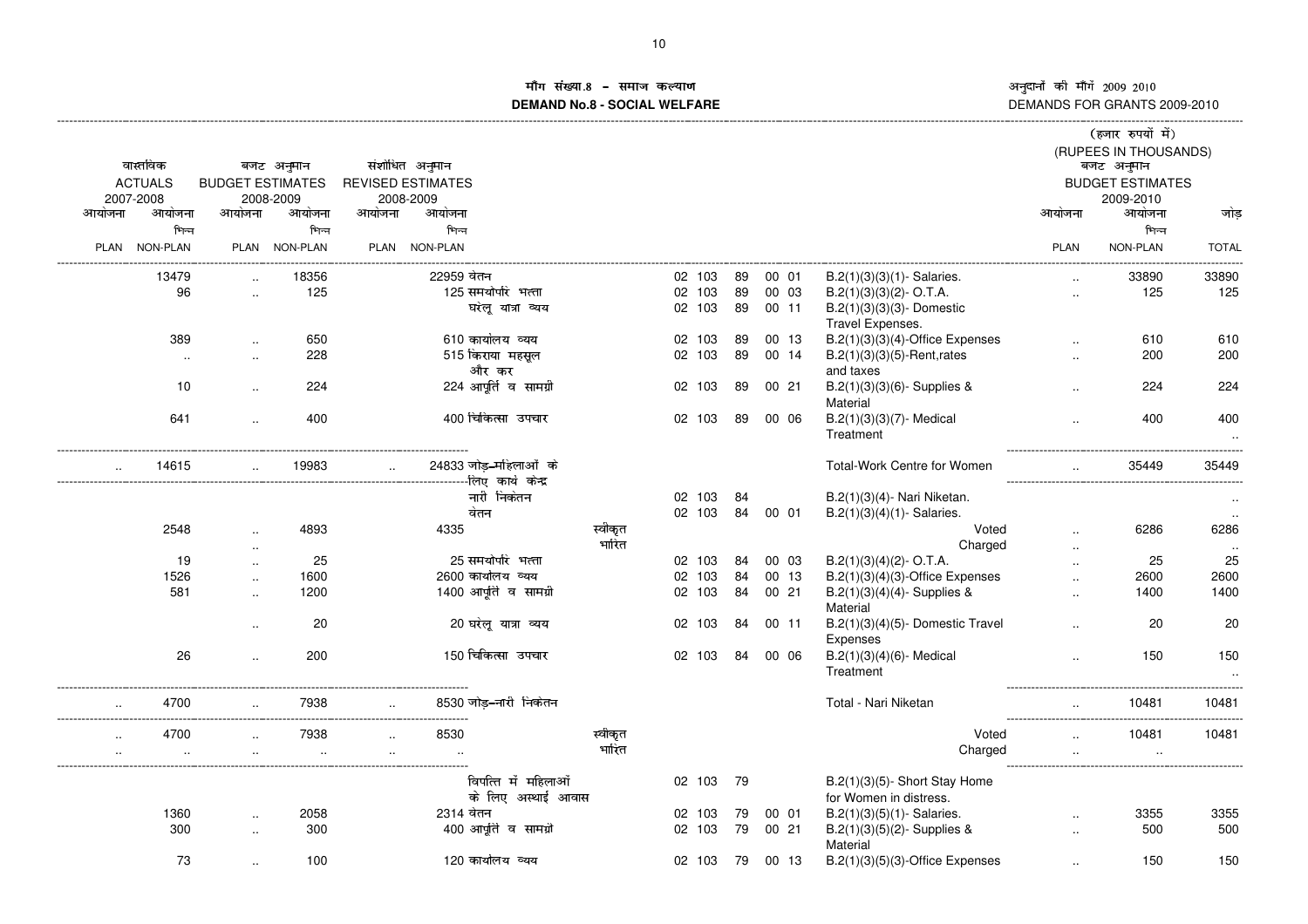#### ग संख्या ्मोग सख्या.8 – समाज कल्याण<br>DEMAND No.8 - SOCIAL WELFARE

|             |                |                         |               |        |                          |                        |         |           |    |       |                                            |         |             | (हजार रुपयों में)                   |              |
|-------------|----------------|-------------------------|---------------|--------|--------------------------|------------------------|---------|-----------|----|-------|--------------------------------------------|---------|-------------|-------------------------------------|--------------|
|             | वास्तविक       |                         | बजट अनुमान    |        | संशोधित अनुमान           |                        |         |           |    |       |                                            |         |             | (RUPEES IN THOUSANDS)<br>बजट अनुमान |              |
|             | <b>ACTUALS</b> | <b>BUDGET ESTIMATES</b> |               |        | <b>REVISED ESTIMATES</b> |                        |         |           |    |       |                                            |         |             | <b>BUDGET ESTIMATES</b>             |              |
|             | 2007-2008      |                         | 2008-2009     |        | 2008-2009                |                        |         |           |    |       |                                            |         |             | 2009-2010                           |              |
| आयोजना      | आयोजना         | आयोजना                  | आयोजना        | आयोजना | आयोजना                   |                        |         |           |    |       |                                            |         | आयोजना      | आयोजना                              | जोड          |
|             | भिन्न          |                         | भिन्न         |        | भिन्न                    |                        |         |           |    |       |                                            |         |             | भिन्न                               |              |
| <b>PLAN</b> | NON-PLAN       |                         | PLAN NON-PLAN |        | PLAN NON-PLAN            |                        |         |           |    |       |                                            |         | <b>PLAN</b> | NON-PLAN                            | <b>TOTAL</b> |
|             |                |                         |               |        |                          |                        |         |           |    |       |                                            |         |             |                                     |              |
|             | 13479          |                         | 18356         |        | 22959 वेतन               |                        |         | 02 103    | 89 | 00 01 | $B.2(1)(3)(3)(1)$ - Salaries.              |         |             | 33890                               | 33890        |
|             | 96             | $\ddotsc$               | 125           |        |                          | 125 समयोपरि भत्ता      |         | 02 103    | 89 | 00 03 | $B.2(1)(3)(3)(2)$ - O.T.A.                 |         | $\sim$      | 125                                 | 125          |
|             |                |                         |               |        |                          | घरेलू यात्रा व्यय      |         | 02 103    | 89 | 00 11 | B.2(1)(3)(3)(3)-Domestic                   |         |             |                                     |              |
|             |                |                         |               |        |                          |                        |         |           |    |       | Travel Expenses.                           |         |             |                                     |              |
|             | 389            | $\ddotsc$               | 650           |        |                          | 610 कार्यालय व्यय      |         | 02 103    | 89 | 00 13 | $B.2(1)(3)(3)(4)$ -Office Expenses         |         |             | 610                                 | 610          |
|             | $\sim$         | $\sim$                  | 228           |        |                          | 515 किराया महसूल       |         | 02 103    | 89 | 00 14 | $B.2(1)(3)(3)(5)$ -Rent, rates             |         | $\ddotsc$   | 200                                 | 200          |
|             |                |                         |               |        |                          | और कर                  |         |           |    |       | and taxes                                  |         |             |                                     |              |
|             | 10             | $\ddotsc$               | 224           |        |                          | 224 आपूर्ति व सामग्री  |         | 02 103    | 89 | 00 21 | $B.2(1)(3)(3)(6)$ - Supplies &<br>Material |         | $\cdot$     | 224                                 | 224          |
|             | 641            | $\ddotsc$               | 400           |        |                          | 400 चिकित्सा उपचार     |         | 02 103    | 89 | 00 06 | $B.2(1)(3)(3)(7)$ - Medical                |         |             | 400                                 | 400          |
|             |                |                         |               |        |                          |                        |         |           |    |       | Treatment                                  |         |             |                                     | $\sim$       |
|             | 14615          |                         | 19983         |        |                          | 24833 जोड़-महिलाओं के  |         |           |    |       | <b>Total-Work Centre for Women</b>         |         |             | 35449                               | 35449        |
|             |                |                         |               |        |                          | -लिए कार्य केन्द्र     |         |           |    |       |                                            |         |             |                                     |              |
|             |                |                         |               |        |                          | नारी निकतन             |         | 02 103    | 84 |       | B.2(1)(3)(4)- Nari Niketan.                |         |             |                                     |              |
|             |                |                         |               |        |                          | वेतन                   |         | 02 103    | 84 | 00 01 | $B.2(1)(3)(4)(1)$ - Salaries.              |         |             |                                     |              |
|             | 2548           | $\ddotsc$               | 4893          |        | 4335                     |                        | स्वीकृत |           |    |       |                                            | Voted   |             | 6286                                | 6286         |
|             |                | $\ddot{\phantom{a}}$    |               |        |                          |                        | भारित   |           |    |       |                                            | Charged | $\cdot$ .   |                                     |              |
|             | 19             | $\ddotsc$               | 25            |        |                          | 25 समयोपरि भत्ता       |         | 02 103    | 84 | 00 03 | $B.2(1)(3)(4)(2)$ - O.T.A.                 |         | $\ddotsc$   | 25                                  | 25           |
|             | 1526           | $\ddotsc$               | 1600          |        |                          | 2600 कार्यालय व्यय     |         | 02<br>103 | 84 | 00 13 | $B.2(1)(3)(4)(3)$ -Office Expenses         |         |             | 2600                                | 2600         |
|             | 581            | $\sim$                  | 1200          |        |                          | 1400 आपूर्ति व सामग्री |         | 02 103    | 84 | 00 21 | $B.2(1)(3)(4)(4)$ - Supplies &<br>Material |         | $\cdot$     | 1400                                | 1400         |
|             |                |                         | 20            |        |                          | 20 घरेलू यात्रा व्यय   |         | 02 103    | 84 | 00 11 | B.2(1)(3)(4)(5)- Domestic Travel           |         |             | 20                                  | 20           |
|             |                |                         |               |        |                          |                        |         |           |    |       | Expenses                                   |         |             |                                     |              |
|             | 26             |                         | 200           |        |                          | 150 चिकित्सा उपचार     |         | 02 103    | 84 | 00 06 | $B.2(1)(3)(4)(6)$ - Medical                |         |             | 150                                 | 150          |
|             |                |                         |               |        |                          |                        |         |           |    |       | Treatment                                  |         |             |                                     |              |
|             |                |                         |               |        |                          |                        |         |           |    |       |                                            |         |             |                                     |              |
|             | 4700           |                         | 7938          |        |                          | 8530 जोड़-नारी निकेतन  |         |           |    |       | Total - Nari Niketan                       |         |             | 10481                               | 10481        |
|             | 4700           |                         | 7938          |        | 8530                     |                        | स्वीकृत |           |    |       |                                            | Voted   |             | 10481                               | 10481        |
|             |                |                         |               |        |                          |                        | भारित   |           |    |       |                                            | Charged |             |                                     |              |
|             |                |                         |               |        |                          |                        |         |           |    |       |                                            |         |             |                                     |              |
|             |                |                         |               |        |                          | विपत्ति में महिलाओं    |         | 02 103    | 79 |       | $B.2(1)(3)(5)$ - Short Stay Home           |         |             |                                     |              |
|             |                |                         |               |        |                          | के लिए अस्थाई आवास     |         |           |    |       | for Women in distress.                     |         |             |                                     |              |
|             | 1360           | $\ddotsc$               | 2058          |        | 2314 वेतन                |                        |         | 02 103    | 79 | 00 01 | $B.2(1)(3)(5)(1)$ - Salaries.              |         | $\sim$      | 3355                                | 3355         |
|             | 300            | $\ddotsc$               | 300           |        |                          | 400 आपूर्ति व सामग्री  |         | 02 103    | 79 | 00 21 | $B.2(1)(3)(5)(2)$ - Supplies &             |         | $\ddotsc$   | 500                                 | 500          |
|             |                |                         |               |        |                          |                        |         |           |    |       | Material                                   |         |             |                                     |              |
|             | 73             |                         | 100           |        |                          | 120 कार्यालय व्यय      |         | 02 103    | 79 | 00 13 | $B.2(1)(3)(5)(3)$ -Office Expenses         |         |             | 150                                 | 150          |
|             |                |                         |               |        |                          |                        |         |           |    |       |                                            |         |             |                                     |              |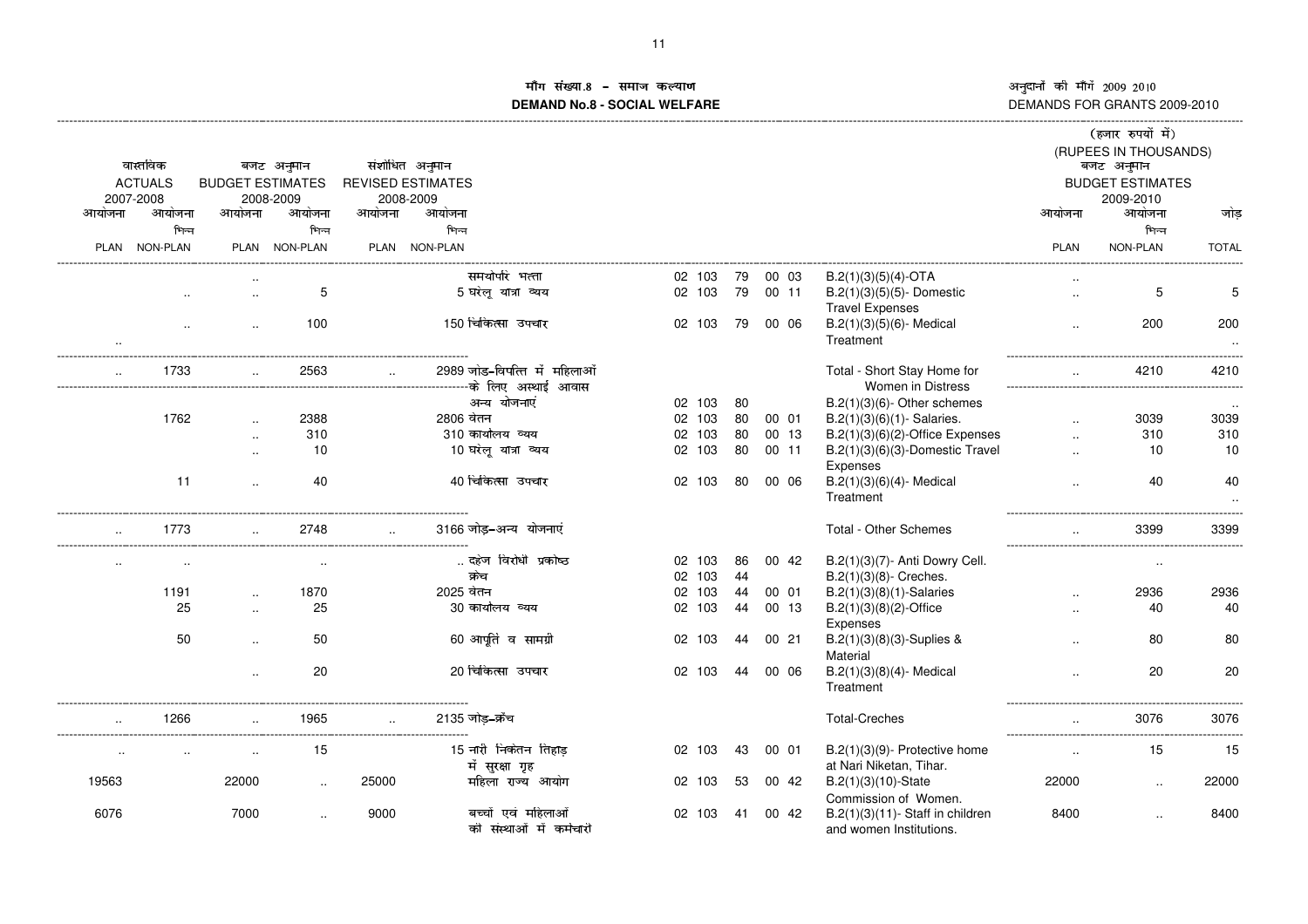# ांग संख्या !"#\$%'&**DEMAND No.8 - SOCIAL WELFARE**

|                      |           |                         |               |        |                          |                                          |        |    |       |                                                             |                      | (हजार रुपयों में)                   |              |
|----------------------|-----------|-------------------------|---------------|--------|--------------------------|------------------------------------------|--------|----|-------|-------------------------------------------------------------|----------------------|-------------------------------------|--------------|
|                      | वास्तविक  |                         | बजट अनुमान    |        | संशोधित अनुमान           |                                          |        |    |       |                                                             |                      | (RUPEES IN THOUSANDS)<br>बजट अनुमान |              |
| <b>ACTUALS</b>       |           | <b>BUDGET ESTIMATES</b> |               |        | <b>REVISED ESTIMATES</b> |                                          |        |    |       |                                                             |                      | <b>BUDGET ESTIMATES</b>             |              |
| 2007-2008            |           |                         | 2008-2009     |        | 2008-2009                |                                          |        |    |       |                                                             |                      | 2009-2010                           |              |
| आयोजना               | आयोजना    | आयोजना                  | आयोजना        | आयोजना | आयोजना                   |                                          |        |    |       |                                                             | आयोजना               | आयोजना                              | जोड          |
|                      | भिन्न     |                         | भिन्न         |        | भिन्न                    |                                          |        |    |       |                                                             |                      | भिन्न                               |              |
| PLAN NON-PLAN        |           |                         | PLAN NON-PLAN |        | PLAN NON-PLAN            |                                          |        |    |       |                                                             | <b>PLAN</b>          | <b>NON-PLAN</b>                     | <b>TOTAL</b> |
|                      |           |                         |               |        |                          | समयोपरि भत्ता                            | 02 103 | 79 | 00 03 | $B.2(1)(3)(5)(4)$ -OTA                                      |                      |                                     |              |
|                      | $\ddotsc$ | $\sim$                  | 5             |        |                          | 5 घरेलू यात्रा व्यय                      | 02 103 | 79 | 00 11 | $B.2(1)(3)(5)(5)$ - Domestic<br><b>Travel Expenses</b>      | $\ddotsc$            | 5                                   | 5            |
|                      | $\cdot$   | $\ddotsc$               | 100           |        |                          | 150 चिकित्सा उपचार                       | 02 103 | 79 | 00 06 | $B.2(1)(3)(5)(6)$ - Medical                                 | $\cdot$ .            | 200                                 | 200          |
|                      |           |                         |               |        |                          |                                          |        |    |       | Treatment                                                   |                      |                                     | $\cdot$ .    |
|                      | 1733      |                         | 2563          |        |                          | 2989 जोड–विपत्ति में महिलाओं             |        |    |       | Total - Short Stay Home for                                 |                      | 4210                                | 4210         |
|                      |           |                         |               |        |                          |                                          |        |    |       | <b>Women in Distress</b>                                    |                      |                                     |              |
|                      |           |                         |               |        |                          | अन्य योजनाएं                             | 02 103 | 80 |       | $B.2(1)(3)(6)$ - Other schemes                              |                      |                                     |              |
|                      | 1762      |                         | 2388          |        | 2806 वेतन                |                                          | 02 103 | 80 | 00 01 | $B.2(1)(3)(6)(1)$ - Salaries.                               | $\ddotsc$            | 3039                                | 3039         |
|                      |           | $\ddotsc$               | 310           |        |                          | 310 कार्यालय व्यय                        | 02 103 | 80 | 00 13 | $B.2(1)(3)(6)(2)$ -Office Expenses                          |                      | 310                                 | 310          |
|                      |           | $\ddot{\phantom{a}}$    | 10            |        |                          | 10 घरेलू यात्रा व्यय                     | 02 103 | 80 | 00 11 | B.2(1)(3)(6)(3)-Domestic Travel                             |                      | 10                                  | 10           |
|                      |           |                         |               |        |                          |                                          |        |    |       | Expenses                                                    |                      |                                     |              |
|                      | 11        | $\ddotsc$               | 40            |        |                          | 40 चिकित्सा उपचार                        | 02 103 | 80 | 00 06 | $B.2(1)(3)(6)(4)$ - Medical<br>Treatment                    |                      | 40                                  | 40           |
|                      | 1773      |                         | 2748          |        |                          | 3166 जोड–अन्य योजनाएं                    |        |    |       | Total - Other Schemes                                       | $\sim$               | 3399                                | 3399         |
|                      |           |                         |               |        |                          | दहेज विरोधी प्रकोष्ठ                     | 02 103 | 86 | 00 42 | B.2(1)(3)(7)- Anti Dowry Cell.                              |                      |                                     |              |
|                      | $\sim$    |                         |               |        |                          | क्रेच                                    | 02 103 | 44 |       | $B.2(1)(3)(8)$ - Creches.                                   |                      | $\sim$                              |              |
|                      | 1191      |                         | 1870          |        | 2025 वेतन                |                                          | 02 103 | 44 | 00 01 | $B.2(1)(3)(8)(1)$ -Salaries                                 | $\ddot{\phantom{a}}$ | 2936                                | 2936         |
|                      | 25        |                         | 25            |        |                          | 30 कार्यालय व्यय                         | 02 103 | 44 | 00 13 | $B.2(1)(3)(8)(2)$ -Office                                   |                      | 40                                  | 40           |
|                      |           |                         |               |        |                          |                                          |        |    |       | Expenses                                                    |                      |                                     |              |
|                      | 50        | $\ddotsc$               | 50            |        |                          | 60 आपूर्ति व सामग्री                     | 02 103 | 44 | 00 21 | B.2(1)(3)(8)(3)-Suplies &<br>Material                       |                      | 80                                  | 80           |
|                      |           | $\ddotsc$               | 20            |        |                          | 20 चिकित्सा उपचार                        | 02 103 | 44 | 00 06 | $B.2(1)(3)(8)(4)$ - Medical                                 |                      | 20                                  | 20           |
|                      |           |                         |               |        |                          |                                          |        |    |       | Treatment                                                   |                      |                                     |              |
| $\ddotsc$            | 1266      |                         | 1965          |        |                          | 2135 जोड–क्रॅच                           |        |    |       | <b>Total-Creches</b>                                        | $\sim$               | 3076                                | 3076         |
| $\ddot{\phantom{a}}$ |           |                         | 15            |        |                          | 15 नारी निकेतन तिहाड़<br>में सुरक्षा गृह | 02 103 | 43 | 00 01 | $B.2(1)(3)(9)$ - Protective home<br>at Nari Niketan, Tihar. | $\ddotsc$            | 15                                  | 15           |
| 19563                |           | 22000                   |               | 25000  |                          | महिला राज्य आयोग                         | 02 103 | 53 | 00 42 | $B.2(1)(3)(10)$ -State                                      | 22000                | $\ddot{\phantom{a}}$                | 22000        |
| 6076                 |           | 7000                    |               | 9000   |                          | बच्चों एवं महिलाओं                       | 02 103 | 41 | 00 42 | Commission of Women.<br>$B.2(1)(3)(11)$ - Staff in children | 8400                 |                                     | 8400         |
|                      |           |                         | $\ddotsc$     |        |                          | की संस्थाओं में कर्मचारी                 |        |    |       | and women Institutions.                                     |                      |                                     |              |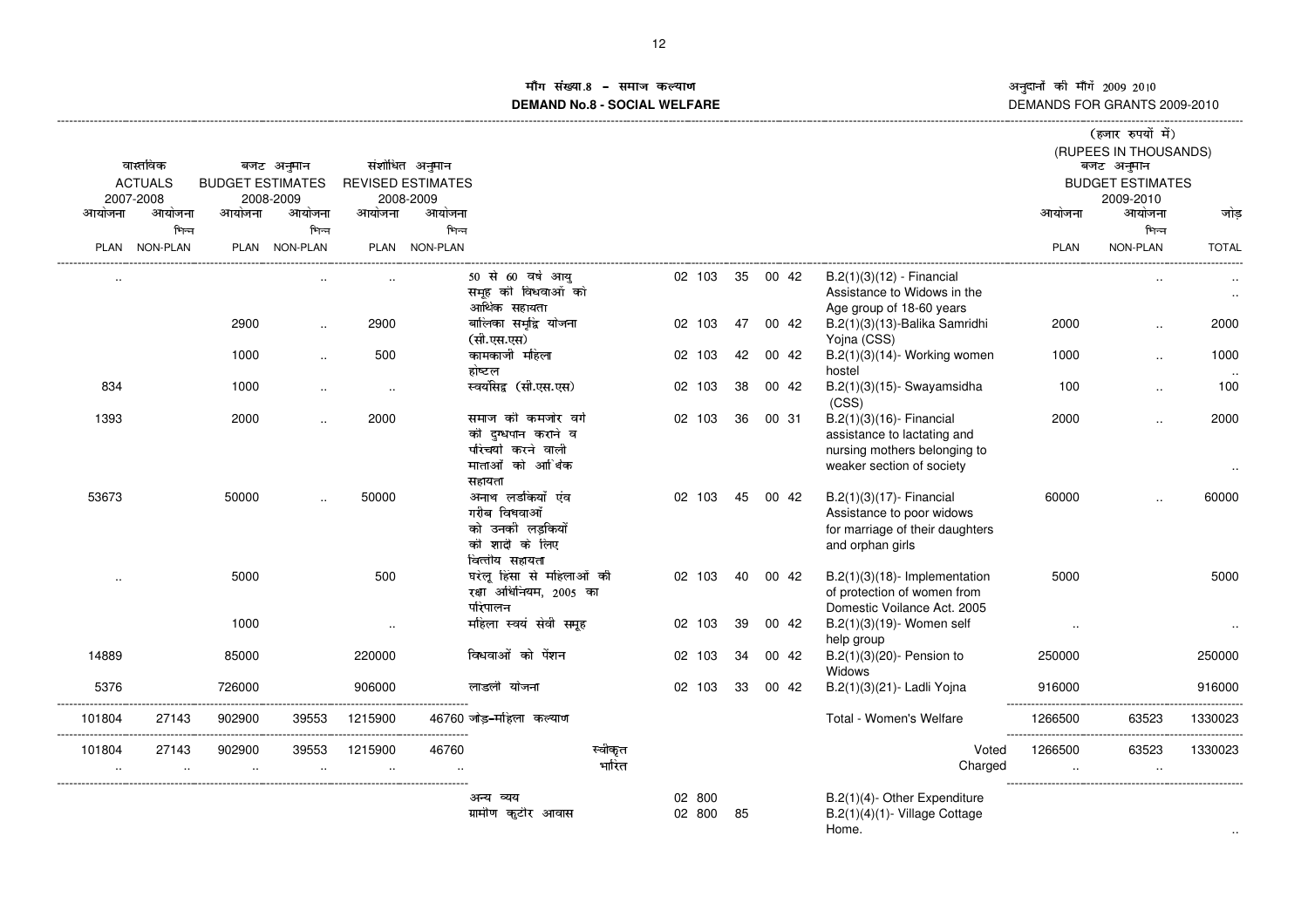#### iंग संख्या ~z{{{'**DEMAND No.8 - SOCIAL WELFARE**

|                     |                             |                                |                      |                      |                                       |                                                                                              |                  |                  |    |          |                                                                                                                      |                                         | (हजार रुपयों में)<br>(RUPEES IN THOUSANDS) |                     |
|---------------------|-----------------------------|--------------------------------|----------------------|----------------------|---------------------------------------|----------------------------------------------------------------------------------------------|------------------|------------------|----|----------|----------------------------------------------------------------------------------------------------------------------|-----------------------------------------|--------------------------------------------|---------------------|
|                     | वास्तविक                    |                                | बजट अनुमान           |                      | संशोधित अनुमान                        |                                                                                              |                  |                  |    |          |                                                                                                                      |                                         | बजट अनुमान                                 |                     |
|                     | <b>ACTUALS</b><br>2007-2008 | <b>BUDGET ESTIMATES</b>        | 2008-2009            |                      | <b>REVISED ESTIMATES</b><br>2008-2009 |                                                                                              |                  |                  |    |          |                                                                                                                      |                                         | <b>BUDGET ESTIMATES</b><br>2009-2010       |                     |
| आयोजना              | आयोजना                      | आयोजना                         | आयोजना               | आयोजना               | आयोजना                                |                                                                                              |                  |                  |    |          |                                                                                                                      | आयोजना                                  | आयोजना                                     | जोड                 |
|                     | भिन्न                       |                                | भिन्न                |                      | भिन्न                                 |                                                                                              |                  |                  |    |          |                                                                                                                      |                                         | भिन्न                                      |                     |
|                     | PLAN NON-PLAN               |                                | PLAN NON-PLAN        |                      | PLAN NON-PLAN                         |                                                                                              |                  |                  |    |          |                                                                                                                      | <b>PLAN</b>                             | <b>NON-PLAN</b>                            | <b>TOTAL</b>        |
| $\cdot$ .           |                             |                                |                      |                      |                                       | 50 से 60 वर्ष आय<br>समूह की विधवाओं को<br>आर्थिक सहायता                                      |                  | 02 103           |    | 35 00 42 | $B.2(1)(3)(12)$ - Financial<br>Assistance to Widows in the<br>Age group of 18-60 years                               |                                         | $\cdot$ .                                  | $\cdot$ .<br>$\sim$ |
|                     |                             | 2900                           | $\ddotsc$            | 2900                 |                                       | बालिका समृद्धि योजना<br>(सी.एस.एस)                                                           |                  | 02 103           | 47 | 00 42    | B.2(1)(3)(13)-Balika Samridhi<br>Yojna (CSS)                                                                         | 2000                                    | $\ldots$                                   | 2000                |
|                     |                             | 1000                           |                      | 500                  |                                       | कामकाजी महिला<br>होष्टल                                                                      |                  | 02 103           | 42 | 00 42    | $B.2(1)(3)(14)$ - Working women<br>hostel                                                                            | 1000                                    | $\ddot{\phantom{a}}$                       | 1000<br>$\ddotsc$   |
| 834                 |                             | 1000                           | $\cdot$              | $\cdot$              |                                       | स्वयंसिद्व (सी.एस.एस)                                                                        |                  | 02 103           | 38 | 00 42    | $B.2(1)(3)(15)$ - Swayamsidha<br>(CSS)                                                                               | 100                                     | $\ddot{\phantom{a}}$                       | 100                 |
| 1393                |                             | 2000                           | $\ddot{\phantom{a}}$ | 2000                 |                                       | समाज की कमजोर वर्ग<br>को दग्धपान कराने व<br>परिचर्या करने वाली<br>माताओं को आर्थिक<br>सहायता |                  | 02 103           | 36 | 00 31    | B.2(1)(3)(16)- Financial<br>assistance to lactating and<br>nursing mothers belonging to<br>weaker section of society | 2000                                    | $\ddot{\phantom{a}}$                       | 2000                |
| 53673               |                             | 50000                          |                      | 50000                |                                       | अनाथ लडकियों एंव<br>गरीब विधवाओं<br>को उनकी लडकियाँ<br>की शादी के लिए<br>वित्तीय सहायता      |                  | 02 103           | 45 | 00 42    | B.2(1)(3)(17)- Financial<br>Assistance to poor widows<br>for marriage of their daughters<br>and orphan girls         | 60000                                   |                                            | 60000               |
|                     |                             | 5000                           |                      | 500                  |                                       | घरेलू हिंसा से महिलाओं की<br>रक्षा अधिनियम, 2005 का<br>परिपालन                               |                  | 02 103           | 40 | 00 42    | $B.2(1)(3)(18)$ - Implementation<br>of protection of women from<br>Domestic Voilance Act. 2005                       | 5000                                    |                                            | 5000                |
|                     |                             | 1000                           |                      | $\cdot$ .            |                                       | महिला स्वयं सेवी समूह                                                                        |                  | 02 103           | 39 | 00 42    | B.2(1)(3)(19)- Women self<br>help group                                                                              |                                         |                                            |                     |
| 14889               |                             | 85000                          |                      | 220000               |                                       | विधवाओं को पेंशन                                                                             |                  | 02 103           | 34 | 00 42    | B.2(1)(3)(20)- Pension to<br>Widows                                                                                  | 250000                                  |                                            | 250000              |
| 5376                |                             | 726000                         |                      | 906000               |                                       | लाडली योजना                                                                                  |                  | 02 103           | 33 | 00 42    | B.2(1)(3)(21) - Ladli Yojna                                                                                          | 916000                                  |                                            | 916000              |
| 101804<br>          | 27143                       | 902900                         | 39553                | 1215900              |                                       | 46760 जोड़-महिला कल्याण                                                                      |                  |                  |    |          | Total - Women's Welfare                                                                                              | 1266500<br>---------------------------- | 63523                                      | 1330023             |
| 101804<br>$\cdot$ . | 27143<br>$\cdot$ .          | 902900<br>$\ddot{\phantom{a}}$ | 39553<br>$\cdot$     | 1215900<br>$\ddotsc$ | 46760                                 |                                                                                              | स्वीकृत<br>भारित |                  |    |          | Voted<br>Charged                                                                                                     | 1266500                                 | 63523<br>$\cdot$ .                         | 1330023             |
|                     |                             |                                |                      |                      |                                       | अन्य व्यय<br>ग्रामीण कुटीर आवास                                                              |                  | 02 800<br>02 800 | 85 |          | B.2(1)(4)- Other Expenditure<br>B.2(1)(4)(1)- Village Cottage<br>Home.                                               |                                         |                                            |                     |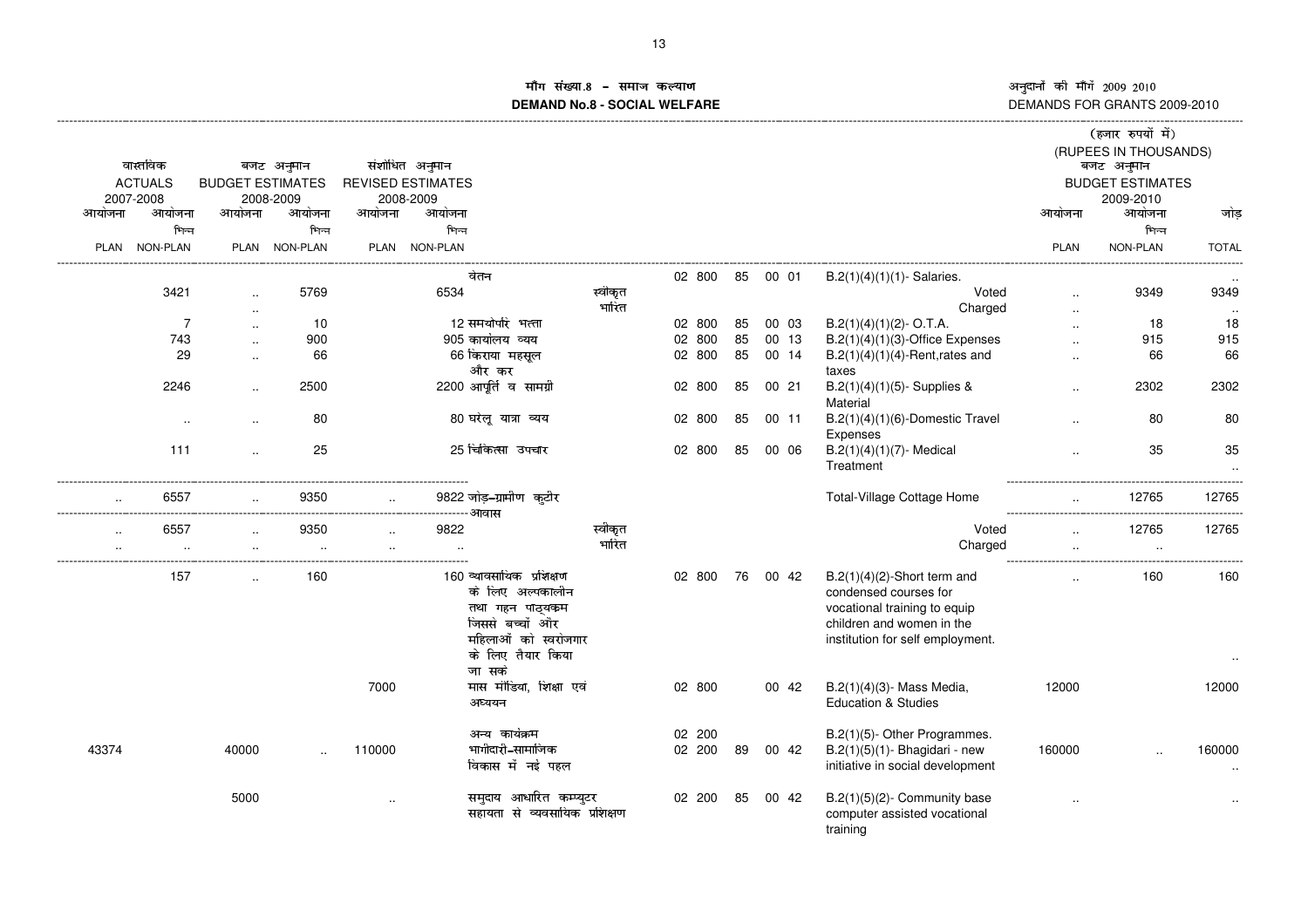# ाँग संख्या <sup>478</sup> 1-.9:;.<4.=>+?**DEMAND No.8 - SOCIAL WELFARE**

|           |                |                         |               |        |                                          |                                                                                                                                 |                  |                  |    |       |                                                                                                                                                          |             | (हजार रुपयों में)                   |              |
|-----------|----------------|-------------------------|---------------|--------|------------------------------------------|---------------------------------------------------------------------------------------------------------------------------------|------------------|------------------|----|-------|----------------------------------------------------------------------------------------------------------------------------------------------------------|-------------|-------------------------------------|--------------|
|           | वास्तविक       |                         | बजट अनुमान    |        | संशोधित अनुमान                           |                                                                                                                                 |                  |                  |    |       |                                                                                                                                                          |             | (RUPEES IN THOUSANDS)<br>बजट अनुमान |              |
|           | <b>ACTUALS</b> | <b>BUDGET ESTIMATES</b> |               |        | <b>REVISED ESTIMATES</b>                 |                                                                                                                                 |                  |                  |    |       |                                                                                                                                                          |             | <b>BUDGET ESTIMATES</b>             |              |
|           | 2007-2008      |                         | 2008-2009     |        | 2008-2009                                |                                                                                                                                 |                  |                  |    |       |                                                                                                                                                          |             | 2009-2010                           |              |
| आयोजना    | आयोजना         | आयोजना                  | आयोजना        | आयोजना | आयोजना                                   |                                                                                                                                 |                  |                  |    |       |                                                                                                                                                          | आयोजना      | आयोजना                              | जोड          |
|           | भिन्न          |                         | भिन्न         |        | भिन्न                                    |                                                                                                                                 |                  |                  |    |       |                                                                                                                                                          |             | भिन्न                               |              |
|           | PLAN NON-PLAN  |                         | PLAN NON-PLAN |        | PLAN NON-PLAN                            |                                                                                                                                 |                  |                  |    |       |                                                                                                                                                          | <b>PLAN</b> | <b>NON-PLAN</b>                     | <b>TOTAL</b> |
|           |                |                         |               |        | वेतन                                     |                                                                                                                                 |                  | 02 800           | 85 | 00 01 | $B.2(1)(4)(1)(1)$ - Salaries.                                                                                                                            |             |                                     |              |
|           | 3421           | $\ddot{\phantom{a}}$    | 5769          |        | 6534                                     |                                                                                                                                 | स्वीकृत<br>भारित |                  |    |       | Voted<br>Charged                                                                                                                                         |             | 9349                                | 9349         |
|           | $\overline{7}$ | $\sim$                  | 10            |        |                                          | 12 समयोपरि भत्ता                                                                                                                |                  | 02 800           | 85 | 00 03 | $B.2(1)(4)(1)(2)$ - O.T.A.                                                                                                                               |             | 18                                  | 18           |
|           | 743            |                         | 900           |        |                                          | 905 कार्यालय व्यय                                                                                                               |                  | 800<br>02        | 85 | 00 13 | $B.2(1)(4)(1)(3)$ -Office Expenses                                                                                                                       |             | 915                                 | 915          |
|           | 29             | $\ddot{\phantom{a}}$    | 66            |        |                                          | 66 किराया महसूल                                                                                                                 |                  | 02 800           | 85 | 00 14 | $B.2(1)(4)(1)(4)$ -Rent, rates and                                                                                                                       |             | 66                                  | 66           |
|           |                |                         |               |        |                                          | और कर                                                                                                                           |                  |                  |    |       | taxes                                                                                                                                                    |             |                                     |              |
|           | 2246           | $\ddotsc$               | 2500          |        |                                          | 2200 आपूर्ति व सामग्री                                                                                                          |                  | 02 800           | 85 | 0021  | $B.2(1)(4)(1)(5)$ - Supplies &<br>Material                                                                                                               |             | 2302                                | 2302         |
|           |                | $\ddotsc$               | 80            |        |                                          | 80 घरेलू यात्रा व्यय                                                                                                            |                  | 02 800           | 85 | 00 11 | $B.2(1)(4)(1)(6)$ -Domestic Travel<br>Expenses                                                                                                           | $\ddotsc$   | 80                                  | 80           |
|           | 111            | $\ddotsc$               | 25            |        |                                          | 25 चिकित्सा उपचार                                                                                                               |                  | 02 800           | 85 | 00 06 | $B.2(1)(4)(1)(7)$ - Medical<br>Treatment                                                                                                                 |             | 35                                  | 35           |
|           | 6557           |                         | 9350          |        | ----------------------------------- आवास | 9822 जोड़–ग्रामीण कटीर                                                                                                          |                  |                  |    |       | <b>Total-Village Cottage Home</b>                                                                                                                        |             | 12765                               | 12765        |
|           | 6557           | $\ddotsc$               | 9350          |        | 9822                                     |                                                                                                                                 | स्वीकृत          |                  |    |       | Voted                                                                                                                                                    |             | 12765                               | 12765        |
| $\ddotsc$ |                |                         |               |        |                                          |                                                                                                                                 | भारित            |                  |    |       | Charged                                                                                                                                                  |             |                                     |              |
|           |                |                         |               |        |                                          |                                                                                                                                 |                  |                  |    |       |                                                                                                                                                          |             |                                     |              |
|           | 157            |                         | 160           |        |                                          | 160 व्यावसायिक प्रशिक्षण<br>के लिए अल्पकालीन<br>तथा गहन पाठ्यकम<br>जिससे बच्चों और<br>महिलाओं को स्वरोजगार<br>के लिए तैयार किया |                  | 02 800           | 76 | 00 42 | $B.2(1)(4)(2)$ -Short term and<br>condensed courses for<br>vocational training to equip<br>children and women in the<br>institution for self employment. |             | 160                                 | 160          |
|           |                |                         |               |        |                                          | जा सके                                                                                                                          |                  |                  |    |       |                                                                                                                                                          |             |                                     |              |
|           |                |                         |               | 7000   |                                          | मास मीडिया, शिक्षा एवं                                                                                                          |                  | 02 800           |    | 00 42 | B.2(1)(4)(3)- Mass Media,                                                                                                                                | 12000       |                                     | 12000        |
|           |                |                         |               |        |                                          | अध्ययन                                                                                                                          |                  |                  |    |       | <b>Education &amp; Studies</b>                                                                                                                           |             |                                     |              |
| 43374     |                | 40000                   |               | 110000 |                                          | अन्य कार्यक्रम<br>भागीदारी–सामाजिक<br>विकास में नई पहल                                                                          |                  | 02 200<br>02 200 | 89 | 00 42 | B.2(1)(5)- Other Programmes.<br>$B.2(1)(5)(1)$ - Bhagidari - new<br>initiative in social development                                                     | 160000      |                                     | 160000       |
|           |                | 5000                    |               |        |                                          | समुदाय आधारित कम्प्युटर<br>सहायता से व्यवसायिक प्रशिक्षण                                                                        |                  | 02 200           | 85 | 00 42 | $B.2(1)(5)(2)$ - Community base<br>computer assisted vocational<br>training                                                                              |             |                                     |              |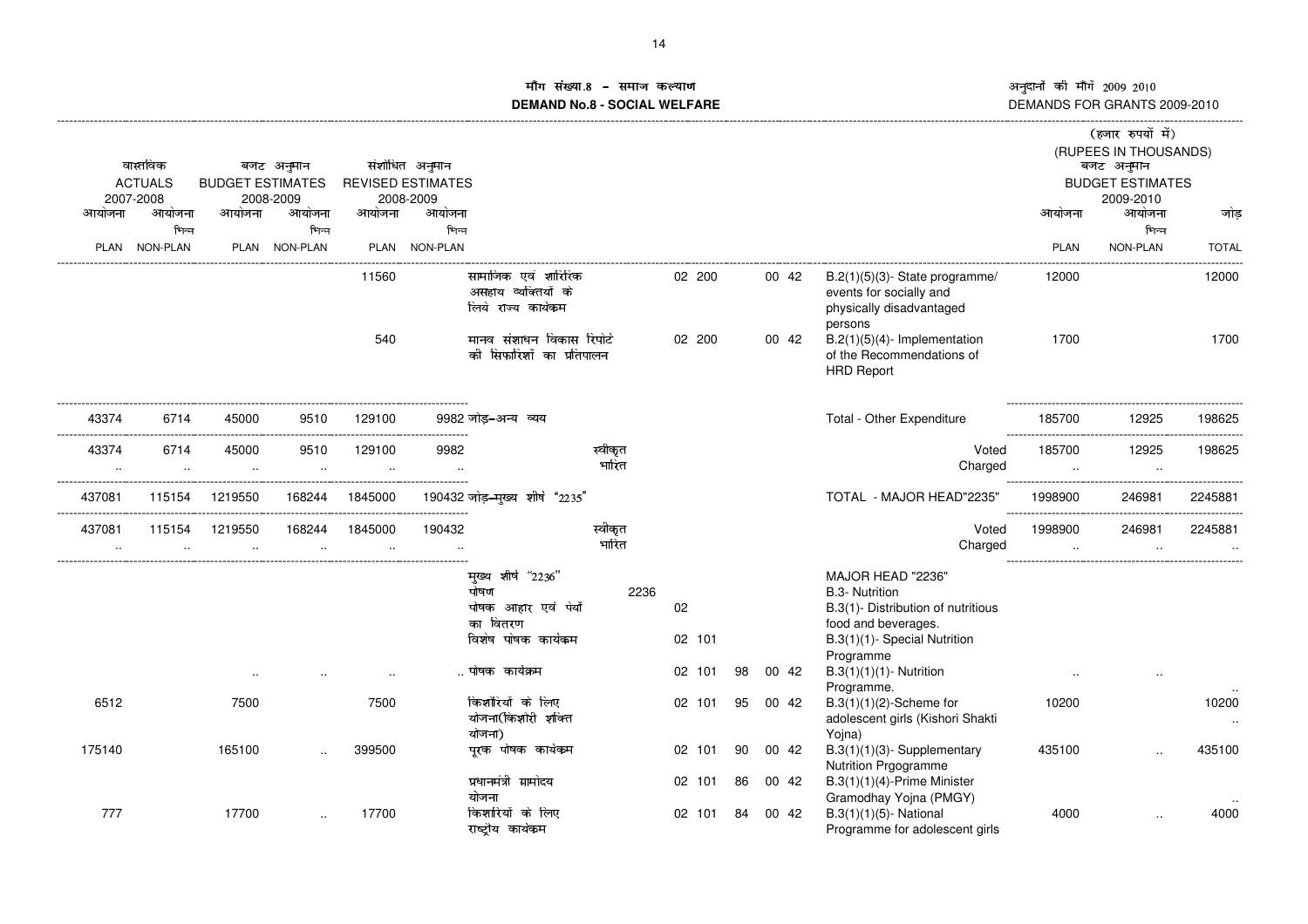©ª§ª«¬ ®¯ª°±«¬ <sup>²</sup>³³´µ <sup>²</sup>³¶³ DEMANDS FOR GRANTS 2009-2010

# ाँग संख्या **ामीग सख्या.8 − समाज कल्याण**<br>DEMAND No.8 - SOCIAL WELFARE DI

| आयोजना              | वास्तविक<br><b>ACTUALS</b><br>2007-2008<br>आयोजना<br>भिन्न<br>PLAN NON-PLAN | <b>BUDGET ESTIMATES</b><br>आयोजना | बजट अनुमान<br>2008-2009<br>आयोजना<br>भिन्न<br>PLAN NON-PLAN | आयोजना                                         | संशोधित अनुमान<br><b>REVISED ESTIMATES</b><br>2008-2009<br>आयोजना<br>भिन्न<br>PLAN NON-PLAN |                                                                                                                            |                  |                        |          |                |                                                                                                                                                                                                  | आयोजना<br><b>PLAN</b> | (हजार रुपयों में)<br>(RUPEES IN THOUSANDS)<br>बजट अनुमान<br><b>BUDGET ESTIMATES</b><br>2009-2010<br>आयोजना<br>भिन्न<br><b>NON-PLAN</b> | जोड<br><b>TOTAL</b><br>. |
|---------------------|-----------------------------------------------------------------------------|-----------------------------------|-------------------------------------------------------------|------------------------------------------------|---------------------------------------------------------------------------------------------|----------------------------------------------------------------------------------------------------------------------------|------------------|------------------------|----------|----------------|--------------------------------------------------------------------------------------------------------------------------------------------------------------------------------------------------|-----------------------|----------------------------------------------------------------------------------------------------------------------------------------|--------------------------|
|                     |                                                                             |                                   |                                                             | 11560                                          |                                                                                             | सामाजिक एवं शारिरिक<br>असहाय व्यक्तियों के<br>लिये राज्य कार्यकम                                                           |                  | 02 200                 |          | 00 42          | $B.2(1)(5)(3)$ - State programme/<br>events for socially and<br>physically disadvantaged<br>persons                                                                                              | 12000                 |                                                                                                                                        | 12000                    |
|                     |                                                                             |                                   |                                                             | 540                                            |                                                                                             | संशाधन विकास रिपोर्ट<br>मानव<br>की सिफारिशों का प्रतिपालन                                                                  |                  | 02 200                 |          | 00 42          | $B.2(1)(5)(4)$ - Implementation<br>of the Recommendations of<br><b>HRD Report</b>                                                                                                                | 1700                  |                                                                                                                                        | 1700                     |
| 43374               | 6714                                                                        | 45000                             | 9510                                                        | ------------------------------------<br>129100 |                                                                                             | 9982 जोड-अन्य व्यय                                                                                                         |                  |                        |          |                | Total - Other Expenditure                                                                                                                                                                        | 185700<br>----------- | 12925                                                                                                                                  | 198625                   |
| 43374<br>$\ddotsc$  | 6714<br>$\cdot$                                                             | 45000<br>$\ddotsc$                | 9510<br>$\ddot{\phantom{a}}$                                | 129100<br>$\ddotsc$                            | 9982                                                                                        |                                                                                                                            | स्वीकृत<br>भारित |                        |          |                | Voted<br>Charged                                                                                                                                                                                 | 185700<br>$\cdot$ .   | 12925<br>$\ddot{\phantom{a}}$                                                                                                          | 198625                   |
| 437081              | 115154                                                                      | 1219550                           | 168244                                                      | 1845000                                        |                                                                                             | 190432 जोड़–मुख्य शीर्ष "2235"                                                                                             |                  |                        |          |                | TOTAL - MAJOR HEAD"2235"                                                                                                                                                                         | 1998900               | 246981                                                                                                                                 | 2245881                  |
| 437081<br>$\ddotsc$ | 115154                                                                      | 1219550                           | 168244                                                      | 1845000                                        | 190432                                                                                      |                                                                                                                            | स्वीकृत<br>भारित |                        |          |                | Voted<br>Charged                                                                                                                                                                                 | 1998900<br>$\cdot$ .  | 246981                                                                                                                                 | 2245881                  |
|                     |                                                                             |                                   |                                                             |                                                |                                                                                             | मुख्य शीर्ष "2236"<br>पोषण<br>पोषक आहार एवं पेयों<br>का वितरण<br>विशेष पोषक कार्यकम<br>ापोषक कार्यक्रम<br>किशोरियों के लिए | 2236             | 02<br>02 101<br>02 101 | 98       | 00 42          | MAJOR HEAD "2236"<br><b>B.3- Nutrition</b><br>B.3(1)- Distribution of nutritious<br>food and beverages.<br>B.3(1)(1)- Special Nutrition<br>Programme<br>$B.3(1)(1)(1)$ - Nutrition<br>Programme. |                       |                                                                                                                                        |                          |
| 6512                |                                                                             | 7500                              |                                                             | 7500                                           |                                                                                             | योजना(किशोरी शक्ति<br>योजना)                                                                                               |                  | 02 101                 | 95       | 00 42          | $B.3(1)(1)(2)$ -Scheme for<br>adolescent girls (Kishori Shakti<br>Yojna)                                                                                                                         | 10200                 |                                                                                                                                        | 10200<br>$\cdot$ .       |
| 175140              |                                                                             | 165100                            |                                                             | 399500                                         |                                                                                             | पूरक पोषक कार्यकम<br>प्रधानमंत्री ग्रामोदय<br>योजना                                                                        |                  | 02 101<br>02 101       | 90<br>86 | 00 42<br>00 42 | $B.3(1)(1)(3)$ - Supplementary<br>Nutrition Prgogramme<br>B.3(1)(1)(4)-Prime Minister<br>Gramodhay Yojna (PMGY)                                                                                  | 435100                |                                                                                                                                        | 435100                   |
| 777                 |                                                                             | 17700                             |                                                             | 17700                                          |                                                                                             | किशारियों के लिए<br>राष्ट्रीय कार्यकम                                                                                      |                  | 02 101                 | 84       | 00 42          | B.3(1)(1)(5)- National<br>Programme for adolescent girls                                                                                                                                         | 4000                  |                                                                                                                                        | 4000                     |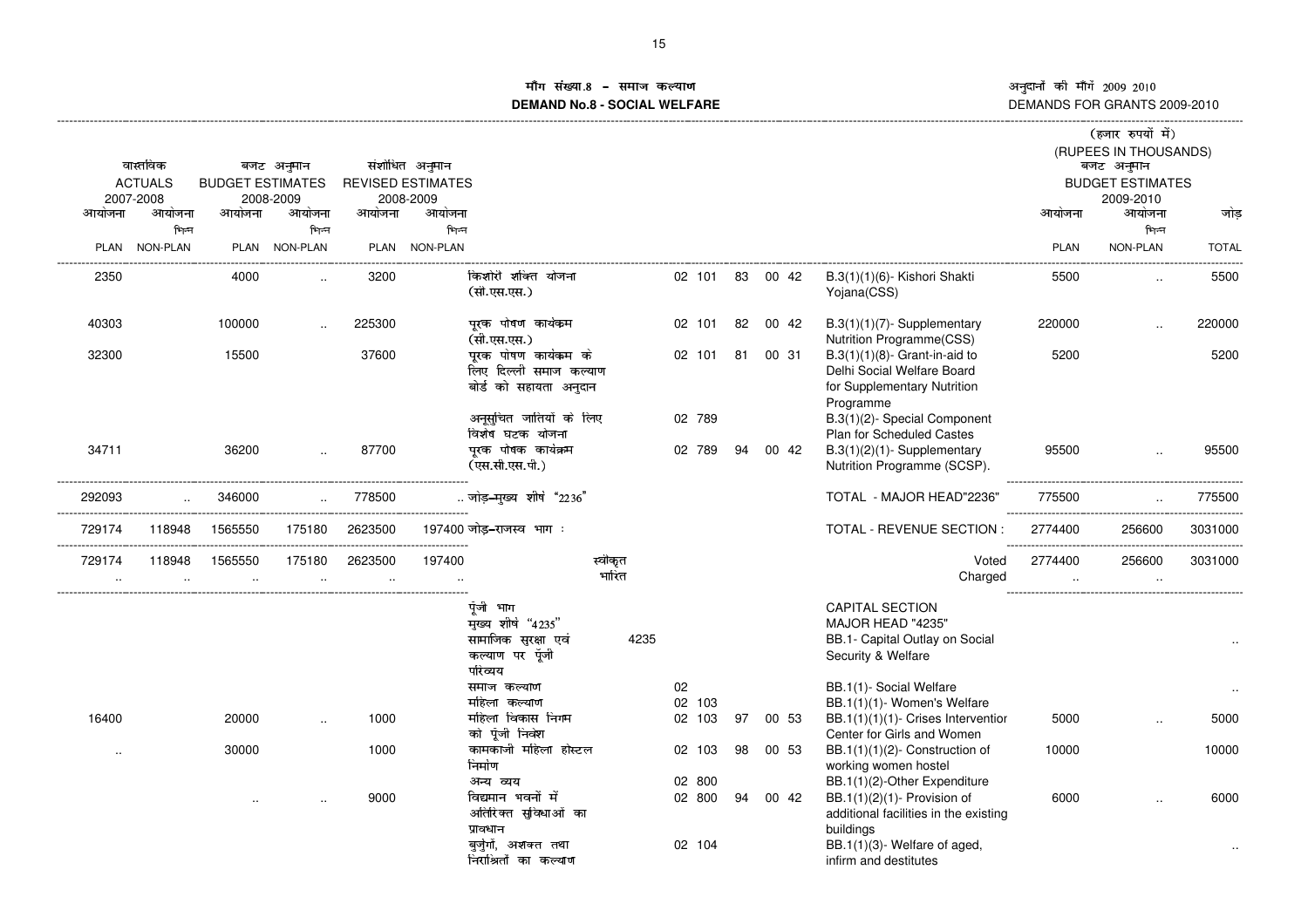नुदानों की माँगें 2009–2010 अनुदानों की माँगें 2009–2010<br>DEMANDS FOR GRANTS 2009-2010

### **गि**संख्या ÷ùú ôðñûüýñþ÷ñÿ-**DEMAND No.8 - SOCIAL WELFARE**

|           |                                           |                        |               |           |                          |                                                                                     |      |                  |    |       |                                                                                                            |             | (हजार रुपयों में)                   |              |
|-----------|-------------------------------------------|------------------------|---------------|-----------|--------------------------|-------------------------------------------------------------------------------------|------|------------------|----|-------|------------------------------------------------------------------------------------------------------------|-------------|-------------------------------------|--------------|
|           | वास्तविक                                  |                        | बजट अनुमान    |           | संशोधित अनुमान           |                                                                                     |      |                  |    |       |                                                                                                            |             | (RUPEES IN THOUSANDS)<br>बजट अनुमान |              |
|           | <b>ACTUALS</b><br><b>BUDGET ESTIMATES</b> |                        |               |           | <b>REVISED ESTIMATES</b> |                                                                                     |      |                  |    |       |                                                                                                            |             | <b>BUDGET ESTIMATES</b>             |              |
|           | 2007-2008                                 |                        | 2008-2009     |           | 2008-2009                |                                                                                     |      |                  |    |       |                                                                                                            |             | 2009-2010                           |              |
| आयोजना    | आयोजना                                    | आयोजना                 | आयोजना        | आयोजना    | आयोजना                   |                                                                                     |      |                  |    |       |                                                                                                            | आयोजना      | आयोजना                              | जोड          |
|           | भिन्न                                     |                        | भिन्न         |           | भिन्न                    |                                                                                     |      |                  |    |       |                                                                                                            |             | भिन्न                               |              |
| PLAN      | <b>NON-PLAN</b>                           |                        | PLAN NON-PLAN |           | PLAN NON-PLAN            |                                                                                     |      |                  |    |       |                                                                                                            | <b>PLAN</b> | NON-PLAN                            | <b>TOTAL</b> |
|           |                                           |                        |               |           |                          |                                                                                     |      |                  |    |       |                                                                                                            |             |                                     |              |
| 2350      |                                           | 4000                   |               | 3200      |                          | किशोरी शक्ति योजना<br>(सी.एस.एस.)                                                   |      | 02 101           | 83 | 00 42 | B.3(1)(1)(6)- Kishori Shakti<br>Yojana(CSS)                                                                | 5500        |                                     | 5500         |
| 40303     |                                           | 100000                 |               | 225300    |                          | पुरक पोषण कार्यक्रम<br>(सी.एस.एस.)                                                  |      | 02 101           | 82 | 00 42 | $B.3(1)(1)(7)$ - Supplementary<br>Nutrition Programme(CSS)                                                 | 220000      |                                     | 220000       |
| 32300     |                                           | 15500                  |               | 37600     |                          | पुरक पोषण कार्यकम के<br>लिए दिल्ली समाज कल्याण<br>बोर्ड को सहायता अनुदान            |      | 02 101           | 81 | 00 31 | $B.3(1)(1)(8)$ - Grant-in-aid to<br>Delhi Social Welfare Board<br>for Supplementary Nutrition<br>Programme | 5200        |                                     | 5200         |
|           |                                           |                        |               |           |                          | अनूसूचित जातियों के लिए<br>विशेष घटक योजना                                          |      | 02 789           |    |       | B.3(1)(2)- Special Component                                                                               |             |                                     |              |
| 34711     |                                           |                        |               | 87700     |                          | पुरक पोषक कार्यक्रम                                                                 |      |                  | 94 |       | Plan for Scheduled Castes                                                                                  |             |                                     | 95500        |
|           |                                           | 36200                  |               |           |                          | (एस.सी.एस.पी.)                                                                      |      | 02 789           |    | 00 42 | $B.3(1)(2)(1)$ - Supplementary<br>Nutrition Programme (SCSP).                                              | 95500       |                                     |              |
| 292093    |                                           | 346000                 |               | 778500    |                          | जोड़–मुख्य शीर्ष "2236"                                                             |      |                  |    |       | TOTAL - MAJOR HEAD"2236"                                                                                   | 775500      |                                     | 775500       |
| 729174    | 118948                                    | 1565550                | 175180        | 2623500   |                          | 197400 जोड-राजस्व भाग :                                                             |      |                  |    |       | TOTAL - REVENUE SECTION :                                                                                  | 2774400     | 256600                              | 3031000      |
| 729174    | 118948                                    | 1565550                | 175180        | 2623500   | 197400                   | स्वीकृत                                                                             |      |                  |    |       | Voted                                                                                                      | 2774400     | 256600                              | 3031000      |
| $\ddotsc$ | $\ddotsc$                                 | $\ddotsc$              | $\ddotsc$     | $\ddotsc$ |                          | भारित                                                                               |      |                  |    |       | Charged                                                                                                    | $\ddotsc$   | $\ddot{\phantom{a}}$                |              |
|           |                                           |                        |               |           |                          | पूँजी भाग<br>मुख्य शीर्ष "4235"<br>सामाजिक सुरक्षा एवं<br>कल्याण पर पॅजी<br>परिव्यय | 4235 |                  |    |       | <b>CAPITAL SECTION</b><br>MAJOR HEAD "4235"<br>BB.1- Capital Outlay on Social<br>Security & Welfare        |             |                                     |              |
|           |                                           |                        |               |           |                          | समाज कल्याण                                                                         |      | 02               |    |       | BB.1(1)- Social Welfare                                                                                    |             |                                     |              |
| 16400     |                                           | 20000                  |               | 1000      |                          | महिला कल्याण<br>महिला विकास निगम<br>को पॅजी निवेश                                   |      | 02 103<br>02 103 | 97 | 00 53 | BB.1(1)(1)- Women's Welfare<br>BB.1(1)(1)(1)- Crises Interventior                                          | 5000        |                                     | 5000         |
|           |                                           | 30000                  |               | 1000      |                          | कामकाजी महिला होस्टल                                                                |      | 02 103           | 98 | 00 53 | Center for Girls and Women<br>BB.1(1)(1)(2)- Construction of                                               | 10000       |                                     | 10000        |
|           |                                           |                        |               |           |                          | निर्माण<br>अन्य व्यय                                                                |      | 02 800           |    |       | working women hostel<br>BB.1(1)(2)-Other Expenditure                                                       |             |                                     |              |
|           |                                           | $\ddot{\phantom{a}}$ . |               | 9000      |                          | विद्यमान भवनों में<br>अतिरिक्त सुविधाओं का<br>प्रावधान                              |      | 02 800           | 94 | 00 42 | BB.1(1)(2)(1)- Provision of<br>additional facilities in the existing<br>buildings                          | 6000        |                                     | 6000         |
|           |                                           |                        |               |           |                          | बुर्जुगों, अशक्त तथा<br>निराश्रितों का कल्याण                                       |      | 02 104           |    |       | BB.1(1)(3)- Welfare of aged,<br>infirm and destitutes                                                      |             |                                     |              |